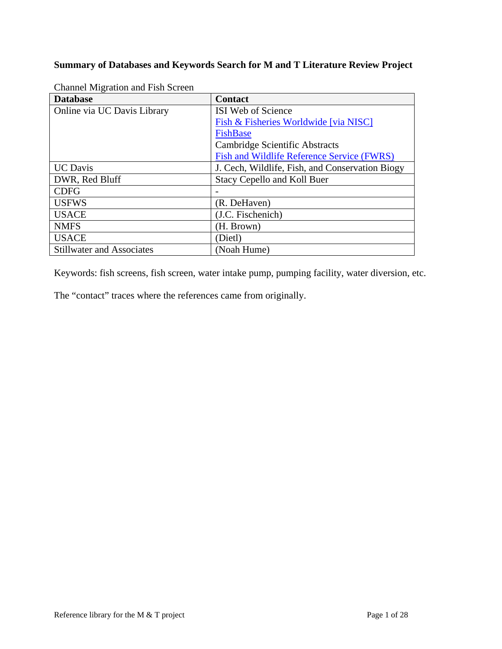## **Summary of Databases and Keywords Search for M and T Literature Review Project**

| <b>Database</b>                  | <b>Contact</b>                                  |
|----------------------------------|-------------------------------------------------|
| Online via UC Davis Library      | ISI Web of Science                              |
|                                  | Fish & Fisheries Worldwide [via NISC]           |
|                                  | FishBase                                        |
|                                  | Cambridge Scientific Abstracts                  |
|                                  | Fish and Wildlife Reference Service (FWRS)      |
| <b>UC</b> Davis                  | J. Cech, Wildlife, Fish, and Conservation Biogy |
| DWR, Red Bluff                   | <b>Stacy Cepello and Koll Buer</b>              |
| <b>CDFG</b>                      |                                                 |
| <b>USFWS</b>                     | (R. DeHaven)                                    |
| <b>USACE</b>                     | (J.C. Fischenich)                               |
| <b>NMFS</b>                      | (H. Brown)                                      |
| <b>USACE</b>                     | (Dietl)                                         |
| <b>Stillwater and Associates</b> | (Noah Hume)                                     |

Channel Migration and Fish Screen

Keywords: fish screens, fish screen, water intake pump, pumping facility, water diversion, etc.

The "contact" traces where the references came from originally.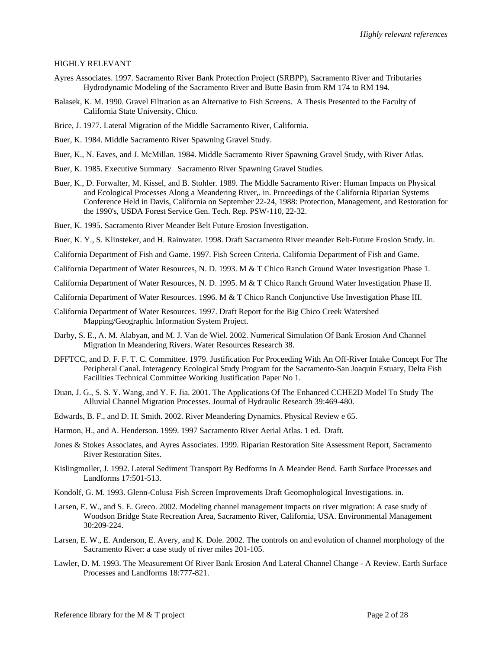## HIGHLY RELEVANT

- Ayres Associates. 1997. Sacramento River Bank Protection Project (SRBPP), Sacramento River and Tributaries Hydrodynamic Modeling of the Sacramento River and Butte Basin from RM 174 to RM 194.
- Balasek, K. M. 1990. Gravel Filtration as an Alternative to Fish Screens. A Thesis Presented to the Faculty of California State University, Chico.
- Brice, J. 1977. Lateral Migration of the Middle Sacramento River, California.
- Buer, K. 1984. Middle Sacramento River Spawning Gravel Study.
- Buer, K., N. Eaves, and J. McMillan. 1984. Middle Sacramento River Spawning Gravel Study, with River Atlas.
- Buer, K. 1985. Executive Summary Sacramento River Spawning Gravel Studies.
- Buer, K., D. Forwalter, M. Kissel, and B. Stohler. 1989. The Middle Sacramento River: Human Impacts on Physical and Ecological Processes Along a Meandering River,. in. Proceedings of the California Riparian Systems Conference Held in Davis, California on September 22-24, 1988: Protection, Management, and Restoration for the 1990's, USDA Forest Service Gen. Tech. Rep. PSW-110, 22-32.
- Buer, K. 1995. Sacramento River Meander Belt Future Erosion Investigation.
- Buer, K. Y., S. Klinsteker, and H. Rainwater. 1998. Draft Sacramento River meander Belt-Future Erosion Study. in.
- California Department of Fish and Game. 1997. Fish Screen Criteria. California Department of Fish and Game.
- California Department of Water Resources, N. D. 1993. M & T Chico Ranch Ground Water Investigation Phase 1.
- California Department of Water Resources, N. D. 1995. M & T Chico Ranch Ground Water Investigation Phase II.
- California Department of Water Resources. 1996. M & T Chico Ranch Conjunctive Use Investigation Phase III.
- California Department of Water Resources. 1997. Draft Report for the Big Chico Creek Watershed Mapping/Geographic Information System Project.
- Darby, S. E., A. M. Alabyan, and M. J. Van de Wiel. 2002. Numerical Simulation Of Bank Erosion And Channel Migration In Meandering Rivers. Water Resources Research 38.
- DFFTCC, and D. F. F. T. C. Committee. 1979. Justification For Proceeding With An Off-River Intake Concept For The Peripheral Canal. Interagency Ecological Study Program for the Sacramento-San Joaquin Estuary, Delta Fish Facilities Technical Committee Working Justification Paper No 1.
- Duan, J. G., S. S. Y. Wang, and Y. F. Jia. 2001. The Applications Of The Enhanced CCHE2D Model To Study The Alluvial Channel Migration Processes. Journal of Hydraulic Research 39:469-480.
- Edwards, B. F., and D. H. Smith. 2002. River Meandering Dynamics. Physical Review e 65.
- Harmon, H., and A. Henderson. 1999. 1997 Sacramento River Aerial Atlas. 1 ed. Draft.
- Jones & Stokes Associates, and Ayres Associates. 1999. Riparian Restoration Site Assessment Report, Sacramento River Restoration Sites.
- Kislingmoller, J. 1992. Lateral Sediment Transport By Bedforms In A Meander Bend. Earth Surface Processes and Landforms 17:501-513.
- Kondolf, G. M. 1993. Glenn-Colusa Fish Screen Improvements Draft Geomophological Investigations. in.
- Larsen, E. W., and S. E. Greco. 2002. Modeling channel management impacts on river migration: A case study of Woodson Bridge State Recreation Area, Sacramento River, California, USA. Environmental Management 30:209-224.
- Larsen, E. W., E. Anderson, E. Avery, and K. Dole. 2002. The controls on and evolution of channel morphology of the Sacramento River: a case study of river miles 201-105.
- Lawler, D. M. 1993. The Measurement Of River Bank Erosion And Lateral Channel Change A Review. Earth Surface Processes and Landforms 18:777-821.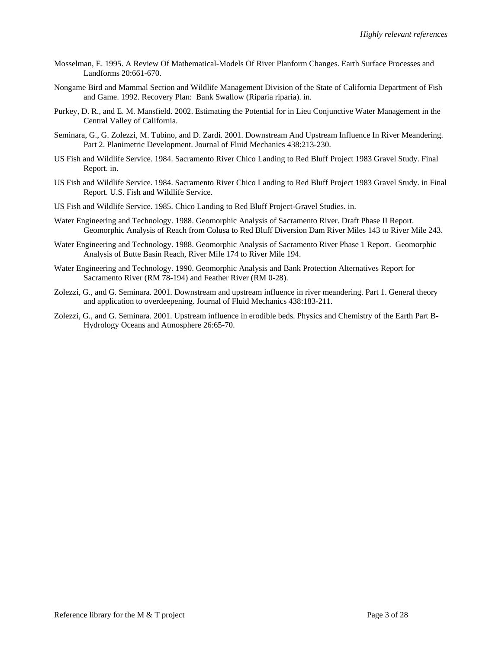- Mosselman, E. 1995. A Review Of Mathematical-Models Of River Planform Changes. Earth Surface Processes and Landforms 20:661-670.
- Nongame Bird and Mammal Section and Wildlife Management Division of the State of California Department of Fish and Game. 1992. Recovery Plan: Bank Swallow (Riparia riparia). in.
- Purkey, D. R., and E. M. Mansfield. 2002. Estimating the Potential for in Lieu Conjunctive Water Management in the Central Valley of California.
- Seminara, G., G. Zolezzi, M. Tubino, and D. Zardi. 2001. Downstream And Upstream Influence In River Meandering. Part 2. Planimetric Development. Journal of Fluid Mechanics 438:213-230.
- US Fish and Wildlife Service. 1984. Sacramento River Chico Landing to Red Bluff Project 1983 Gravel Study. Final Report. in.
- US Fish and Wildlife Service. 1984. Sacramento River Chico Landing to Red Bluff Project 1983 Gravel Study. in Final Report. U.S. Fish and Wildlife Service.
- US Fish and Wildlife Service. 1985. Chico Landing to Red Bluff Project-Gravel Studies. in.
- Water Engineering and Technology. 1988. Geomorphic Analysis of Sacramento River. Draft Phase II Report. Geomorphic Analysis of Reach from Colusa to Red Bluff Diversion Dam River Miles 143 to River Mile 243.
- Water Engineering and Technology. 1988. Geomorphic Analysis of Sacramento River Phase 1 Report. Geomorphic Analysis of Butte Basin Reach, River Mile 174 to River Mile 194.
- Water Engineering and Technology. 1990. Geomorphic Analysis and Bank Protection Alternatives Report for Sacramento River (RM 78-194) and Feather River (RM 0-28).
- Zolezzi, G., and G. Seminara. 2001. Downstream and upstream influence in river meandering. Part 1. General theory and application to overdeepening. Journal of Fluid Mechanics 438:183-211.
- Zolezzi, G., and G. Seminara. 2001. Upstream influence in erodible beds. Physics and Chemistry of the Earth Part B-Hydrology Oceans and Atmosphere 26:65-70.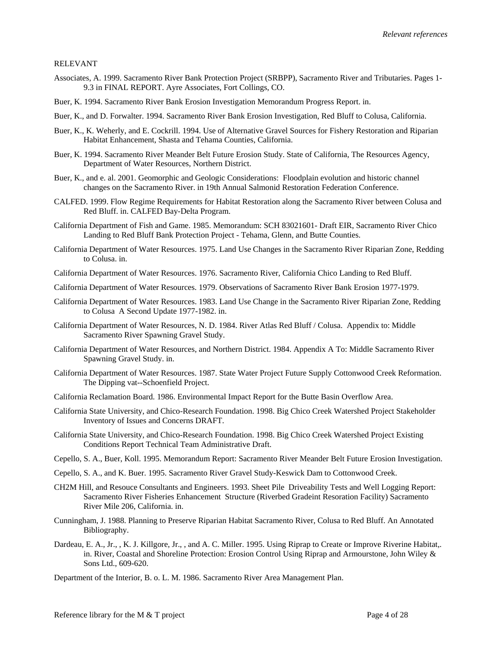## RELEVANT

- Associates, A. 1999. Sacramento River Bank Protection Project (SRBPP), Sacramento River and Tributaries. Pages 1- 9.3 in FINAL REPORT. Ayre Associates, Fort Collings, CO.
- Buer, K. 1994. Sacramento River Bank Erosion Investigation Memorandum Progress Report. in.
- Buer, K., and D. Forwalter. 1994. Sacramento River Bank Erosion Investigation, Red Bluff to Colusa, California.
- Buer, K., K. Weherly, and E. Cockrill. 1994. Use of Alternative Gravel Sources for Fishery Restoration and Riparian Habitat Enhancement, Shasta and Tehama Counties, California.
- Buer, K. 1994. Sacramento River Meander Belt Future Erosion Study. State of California, The Resources Agency, Department of Water Resources, Northern District.
- Buer, K., and e. al. 2001. Geomorphic and Geologic Considerations: Floodplain evolution and historic channel changes on the Sacramento River. in 19th Annual Salmonid Restoration Federation Conference.
- CALFED. 1999. Flow Regime Requirements for Habitat Restoration along the Sacramento River between Colusa and Red Bluff. in. CALFED Bay-Delta Program.
- California Department of Fish and Game. 1985. Memorandum: SCH 83021601- Draft EIR, Sacramento River Chico Landing to Red Bluff Bank Protection Project - Tehama, Glenn, and Butte Counties.
- California Department of Water Resources. 1975. Land Use Changes in the Sacramento River Riparian Zone, Redding to Colusa. in.
- California Department of Water Resources. 1976. Sacramento River, California Chico Landing to Red Bluff.
- California Department of Water Resources. 1979. Observations of Sacramento River Bank Erosion 1977-1979.
- California Department of Water Resources. 1983. Land Use Change in the Sacramento River Riparian Zone, Redding to Colusa A Second Update 1977-1982. in.
- California Department of Water Resources, N. D. 1984. River Atlas Red Bluff / Colusa. Appendix to: Middle Sacramento River Spawning Gravel Study.
- California Department of Water Resources, and Northern District. 1984. Appendix A To: Middle Sacramento River Spawning Gravel Study. in.
- California Department of Water Resources. 1987. State Water Project Future Supply Cottonwood Creek Reformation. The Dipping vat--Schoenfield Project.
- California Reclamation Board. 1986. Environmental Impact Report for the Butte Basin Overflow Area.
- California State University, and Chico-Research Foundation. 1998. Big Chico Creek Watershed Project Stakeholder Inventory of Issues and Concerns DRAFT.
- California State University, and Chico-Research Foundation. 1998. Big Chico Creek Watershed Project Existing Conditions Report Technical Team Administrative Draft.
- Cepello, S. A., Buer, Koll. 1995. Memorandum Report: Sacramento River Meander Belt Future Erosion Investigation.
- Cepello, S. A., and K. Buer. 1995. Sacramento River Gravel Study-Keswick Dam to Cottonwood Creek.
- CH2M Hill, and Resouce Consultants and Engineers. 1993. Sheet Pile Driveability Tests and Well Logging Report: Sacramento River Fisheries Enhancement Structure (Riverbed Gradeint Resoration Facility) Sacramento River Mile 206, California. in.
- Cunningham, J. 1988. Planning to Preserve Riparian Habitat Sacramento River, Colusa to Red Bluff. An Annotated Bibliography.
- Dardeau, E. A., Jr., , K. J. Killgore, Jr., , and A. C. Miller. 1995. Using Riprap to Create or Improve Riverine Habitat,. in. River, Coastal and Shoreline Protection: Erosion Control Using Riprap and Armourstone, John Wiley & Sons Ltd., 609-620.
- Department of the Interior, B. o. L. M. 1986. Sacramento River Area Management Plan.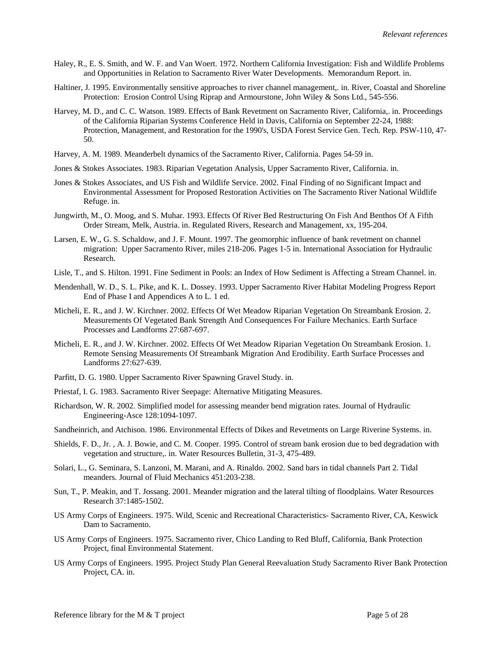- Haley, R., E. S. Smith, and W. F. and Van Woert. 1972. Northern California Investigation: Fish and Wildlife Problems and Opportunities in Relation to Sacramento River Water Developments. Memorandum Report. in.
- Haltiner, J. 1995. Environmentally sensitive approaches to river channel management,. in. River, Coastal and Shoreline Protection: Erosion Control Using Riprap and Armourstone, John Wiley & Sons Ltd., 545-556.
- Harvey, M. D., and C. C. Watson. 1989. Effects of Bank Revetment on Sacramento River, California,. in. Proceedings of the California Riparian Systems Conference Held in Davis, California on September 22-24, 1988: Protection, Management, and Restoration for the 1990's, USDA Forest Service Gen. Tech. Rep. PSW-110, 47- 50.
- Harvey, A. M. 1989. Meanderbelt dynamics of the Sacramento River, California. Pages 54-59 in.
- Jones & Stokes Associates. 1983. Riparian Vegetation Analysis, Upper Sacramento River, California. in.
- Jones & Stokes Associates, and US Fish and Wildlife Service. 2002. Final Finding of no Significant Impact and Environmental Assessment for Proposed Restoration Activities on The Sacramento River National Wildlife Refuge. in.
- Jungwirth, M., O. Moog, and S. Muhar. 1993. Effects Of River Bed Restructuring On Fish And Benthos Of A Fifth Order Stream, Melk, Austria. in. Regulated Rivers, Research and Management, xx, 195-204.
- Larsen, E. W., G. S. Schaldow, and J. F. Mount. 1997. The geomorphic influence of bank revetment on channel migration: Upper Sacramento River, miles 218-206. Pages 1-5 in. International Association for Hydraulic Research.
- Lisle, T., and S. Hilton. 1991. Fine Sediment in Pools: an Index of How Sediment is Affecting a Stream Channel. in.
- Mendenhall, W. D., S. L. Pike, and K. L. Dossey. 1993. Upper Sacramento River Habitat Modeling Progress Report End of Phase I and Appendices A to L. 1 ed.
- Micheli, E. R., and J. W. Kirchner. 2002. Effects Of Wet Meadow Riparian Vegetation On Streambank Erosion. 2. Measurements Of Vegetated Bank Strength And Consequences For Failure Mechanics. Earth Surface Processes and Landforms 27:687-697.
- Micheli, E. R., and J. W. Kirchner. 2002. Effects Of Wet Meadow Riparian Vegetation On Streambank Erosion. 1. Remote Sensing Measurements Of Streambank Migration And Erodibility. Earth Surface Processes and Landforms 27:627-639.
- Parfitt, D. G. 1980. Upper Sacramento River Spawning Gravel Study. in.
- Priestaf, I. G. 1983. Sacramento River Seepage: Alternative Mitigating Measures.
- Richardson, W. R. 2002. Simplified model for assessing meander bend migration rates. Journal of Hydraulic Engineering-Asce 128:1094-1097.
- Sandheinrich, and Atchison. 1986. Environmental Effects of Dikes and Revetments on Large Riverine Systems. in.
- Shields, F. D., Jr. , A. J. Bowie, and C. M. Cooper. 1995. Control of stream bank erosion due to bed degradation with vegetation and structure,. in. Water Resources Bulletin, 31-3, 475-489.
- Solari, L., G. Seminara, S. Lanzoni, M. Marani, and A. Rinaldo. 2002. Sand bars in tidal channels Part 2. Tidal meanders. Journal of Fluid Mechanics 451:203-238.
- Sun, T., P. Meakin, and T. Jossang. 2001. Meander migration and the lateral tilting of floodplains. Water Resources Research 37:1485-1502.
- US Army Corps of Engineers. 1975. Wild, Scenic and Recreational Characteristics- Sacramento River, CA, Keswick Dam to Sacramento.
- US Army Corps of Engineers. 1975. Sacramento river, Chico Landing to Red Bluff, California, Bank Protection Project, final Environmental Statement.
- US Army Corps of Engineers. 1995. Project Study Plan General Reevaluation Study Sacramento River Bank Protection Project, CA. in.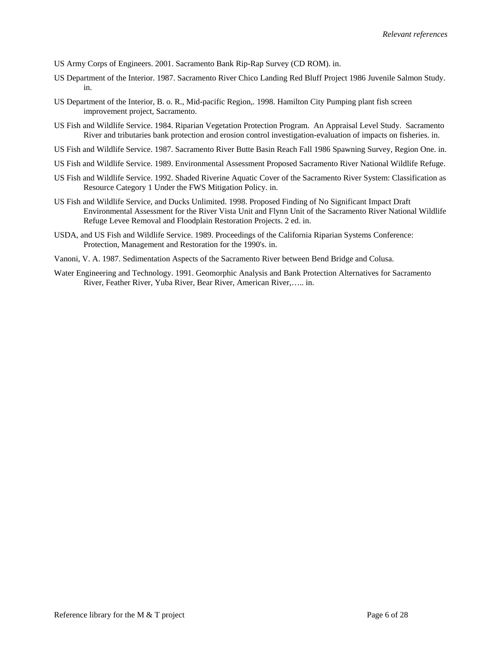US Army Corps of Engineers. 2001. Sacramento Bank Rip-Rap Survey (CD ROM). in.

- US Department of the Interior. 1987. Sacramento River Chico Landing Red Bluff Project 1986 Juvenile Salmon Study. in.
- US Department of the Interior, B. o. R., Mid-pacific Region,. 1998. Hamilton City Pumping plant fish screen improvement project, Sacramento.
- US Fish and Wildlife Service. 1984. Riparian Vegetation Protection Program. An Appraisal Level Study. Sacramento River and tributaries bank protection and erosion control investigation-evaluation of impacts on fisheries. in.
- US Fish and Wildlife Service. 1987. Sacramento River Butte Basin Reach Fall 1986 Spawning Survey, Region One. in.
- US Fish and Wildlife Service. 1989. Environmental Assessment Proposed Sacramento River National Wildlife Refuge.
- US Fish and Wildlife Service. 1992. Shaded Riverine Aquatic Cover of the Sacramento River System: Classification as Resource Category 1 Under the FWS Mitigation Policy. in.
- US Fish and Wildlife Service, and Ducks Unlimited. 1998. Proposed Finding of No Significant Impact Draft Environmental Assessment for the River Vista Unit and Flynn Unit of the Sacramento River National Wildlife Refuge Levee Removal and Floodplain Restoration Projects. 2 ed. in.
- USDA, and US Fish and Wildlife Service. 1989. Proceedings of the California Riparian Systems Conference: Protection, Management and Restoration for the 1990's. in.
- Vanoni, V. A. 1987. Sedimentation Aspects of the Sacramento River between Bend Bridge and Colusa.
- Water Engineering and Technology. 1991. Geomorphic Analysis and Bank Protection Alternatives for Sacramento River, Feather River, Yuba River, Bear River, American River,….. in.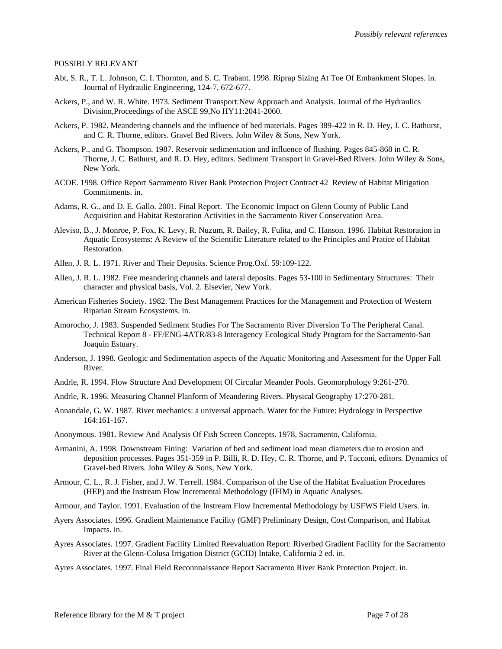## POSSIBLY RELEVANT

- Abt, S. R., T. L. Johnson, C. I. Thornton, and S. C. Trabant. 1998. Riprap Sizing At Toe Of Embankment Slopes. in. Journal of Hydraulic Engineering, 124-7, 672-677.
- Ackers, P., and W. R. White. 1973. Sediment Transport:New Approach and Analysis. Journal of the Hydraulics Division,Proceedings of the ASCE 99,No HY11:2041-2060.
- Ackers, P. 1982. Meandering channels and the influence of bed materials. Pages 389-422 in R. D. Hey, J. C. Bathurst, and C. R. Thorne, editors. Gravel Bed Rivers. John Wiley & Sons, New York.
- Ackers, P., and G. Thompson. 1987. Reservoir sedimentation and influence of flushing. Pages 845-868 in C. R. Thorne, J. C. Bathurst, and R. D. Hey, editors. Sediment Transport in Gravel-Bed Rivers. John Wiley & Sons, New York.
- ACOE. 1998. Office Report Sacramento River Bank Protection Project Contract 42 Review of Habitat Mitigation Commitments. in.
- Adams, R. G., and D. E. Gallo. 2001. Final Report. The Economic Impact on Glenn County of Public Land Acquisition and Habitat Restoration Activities in the Sacramento River Conservation Area.
- Aleviso, B., J. Monroe, P. Fox, K. Levy, R. Nuzum, R. Bailey, R. Fulita, and C. Hanson. 1996. Habitat Restoration in Aquatic Ecosystems: A Review of the Scientific Literature related to the Principles and Pratice of Habitat Restoration.
- Allen, J. R. L. 1971. River and Their Deposits. Science Prog.Oxf. 59:109-122.
- Allen, J. R. L. 1982. Free meandering channels and lateral deposits. Pages 53-100 in Sedimentary Structures: Their character and physical basis, Vol. 2. Elsevier, New York.
- American Fisheries Society. 1982. The Best Management Practices for the Management and Protection of Western Riparian Stream Ecosystems. in.
- Amorocho, J. 1983. Suspended Sediment Studies For The Sacramento River Diversion To The Peripheral Canal. Technical Report 8 - FF/ENG-4ATR/83-8 Interagency Ecological Study Program for the Sacramento-San Joaquin Estuary.
- Anderson, J. 1998. Geologic and Sedimentation aspects of the Aquatic Monitoring and Assessment for the Upper Fall River.
- Andrle, R. 1994. Flow Structure And Development Of Circular Meander Pools. Geomorphology 9:261-270.
- Andrle, R. 1996. Measuring Channel Planform of Meandering Rivers. Physical Geography 17:270-281.
- Annandale, G. W. 1987. River mechanics: a universal approach. Water for the Future: Hydrology in Perspective 164:161-167.
- Anonymous. 1981. Review And Analysis Of Fish Screen Concepts. 1978, Sacramento, California.
- Armanini, A. 1998. Downstream Fining: Variation of bed and sediment load mean diameters due to erosion and deposition processes. Pages 351-359 in P. Billi, R. D. Hey, C. R. Thorne, and P. Tacconi, editors. Dynamics of Gravel-bed Rivers. John Wiley & Sons, New York.
- Armour, C. L., R. J. Fisher, and J. W. Terrell. 1984. Comparison of the Use of the Habitat Evaluation Procedures (HEP) and the Instream Flow Incremental Methodology (IFIM) in Aquatic Analyses.
- Armour, and Taylor. 1991. Evaluation of the Instream Flow Incremental Methodology by USFWS Field Users. in.
- Ayers Associates. 1996. Gradient Maintenance Facility (GMF) Preliminary Design, Cost Comparison, and Habitat Impacts. in.
- Ayres Associates. 1997. Gradient Facility Limited Reevaluation Report: Riverbed Gradient Facility for the Sacramento River at the Glenn-Colusa Irrigation District (GCID) Intake, California 2 ed. in.
- Ayres Associates. 1997. Final Field Reconnnaissance Report Sacramento River Bank Protection Project. in.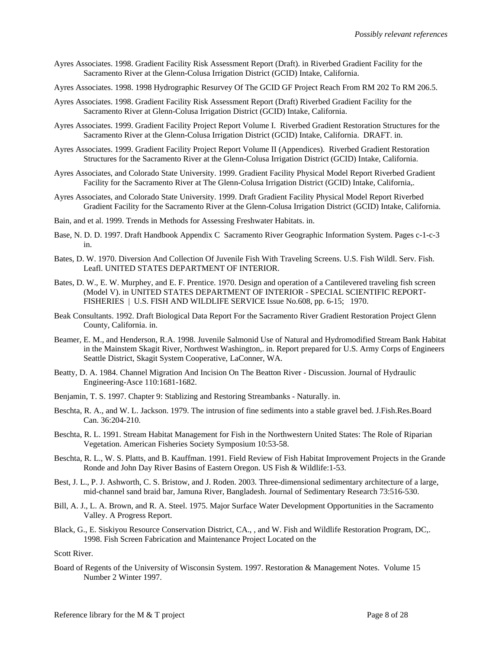- Ayres Associates. 1998. Gradient Facility Risk Assessment Report (Draft). in Riverbed Gradient Facility for the Sacramento River at the Glenn-Colusa Irrigation District (GCID) Intake, California.
- Ayres Associates. 1998. 1998 Hydrographic Resurvey Of The GCID GF Project Reach From RM 202 To RM 206.5.
- Ayres Associates. 1998. Gradient Facility Risk Assessment Report (Draft) Riverbed Gradient Facility for the Sacramento River at Glenn-Colusa Irrigation District (GCID) Intake, California.
- Ayres Associates. 1999. Gradient Facility Project Report Volume I. Riverbed Gradient Restoration Structures for the Sacramento River at the Glenn-Colusa Irrigation District (GCID) Intake, California. DRAFT. in.
- Ayres Associates. 1999. Gradient Facility Project Report Volume II (Appendices). Riverbed Gradient Restoration Structures for the Sacramento River at the Glenn-Colusa Irrigation District (GCID) Intake, California.
- Ayres Associates, and Colorado State University. 1999. Gradient Facility Physical Model Report Riverbed Gradient Facility for the Sacramento River at The Glenn-Colusa Irrigation District (GCID) Intake, California,.
- Ayres Associates, and Colorado State University. 1999. Draft Gradient Facility Physical Model Report Riverbed Gradient Facility for the Sacramento River at the Glenn-Colusa Irrigation District (GCID) Intake, California.
- Bain, and et al. 1999. Trends in Methods for Assessing Freshwater Habitats. in.
- Base, N. D. D. 1997. Draft Handbook Appendix C Sacramento River Geographic Information System. Pages c-1-c-3 in.
- Bates, D. W. 1970. Diversion And Collection Of Juvenile Fish With Traveling Screens. U.S. Fish Wildl. Serv. Fish. Leafl. UNITED STATES DEPARTMENT OF INTERIOR.
- Bates, D. W., E. W. Murphey, and E. F. Prentice. 1970. Design and operation of a Cantilevered traveling fish screen (Model V). in UNITED STATES DEPARTMENT OF INTERIOR - SPECIAL SCIENTIFIC REPORT-FISHERIES | U.S. FISH AND WILDLIFE SERVICE Issue No.608, pp. 6-15; 1970.
- Beak Consultants. 1992. Draft Biological Data Report For the Sacramento River Gradient Restoration Project Glenn County, California. in.
- Beamer, E. M., and Henderson, R.A. 1998. Juvenile Salmonid Use of Natural and Hydromodified Stream Bank Habitat in the Mainstem Skagit River, Northwest Washington,. in. Report prepared for U.S. Army Corps of Engineers Seattle District, Skagit System Cooperative, LaConner, WA.
- Beatty, D. A. 1984. Channel Migration And Incision On The Beatton River Discussion. Journal of Hydraulic Engineering-Asce 110:1681-1682.
- Benjamin, T. S. 1997. Chapter 9: Stablizing and Restoring Streambanks Naturally. in.
- Beschta, R. A., and W. L. Jackson. 1979. The intrusion of fine sediments into a stable gravel bed. J.Fish.Res.Board Can. 36:204-210.
- Beschta, R. L. 1991. Stream Habitat Management for Fish in the Northwestern United States: The Role of Riparian Vegetation. American Fisheries Society Symposium 10:53-58.
- Beschta, R. L., W. S. Platts, and B. Kauffman. 1991. Field Review of Fish Habitat Improvement Projects in the Grande Ronde and John Day River Basins of Eastern Oregon. US Fish & Wildlife:1-53.
- Best, J. L., P. J. Ashworth, C. S. Bristow, and J. Roden. 2003. Three-dimensional sedimentary architecture of a large, mid-channel sand braid bar, Jamuna River, Bangladesh. Journal of Sedimentary Research 73:516-530.
- Bill, A. J., L. A. Brown, and R. A. Steel. 1975. Major Surface Water Development Opportunities in the Sacramento Valley. A Progress Report.
- Black, G., E. Siskiyou Resource Conservation District, CA., , and W. Fish and Wildlife Restoration Program, DC,. 1998. Fish Screen Fabrication and Maintenance Project Located on the

Scott River.

Board of Regents of the University of Wisconsin System. 1997. Restoration & Management Notes. Volume 15 Number 2 Winter 1997.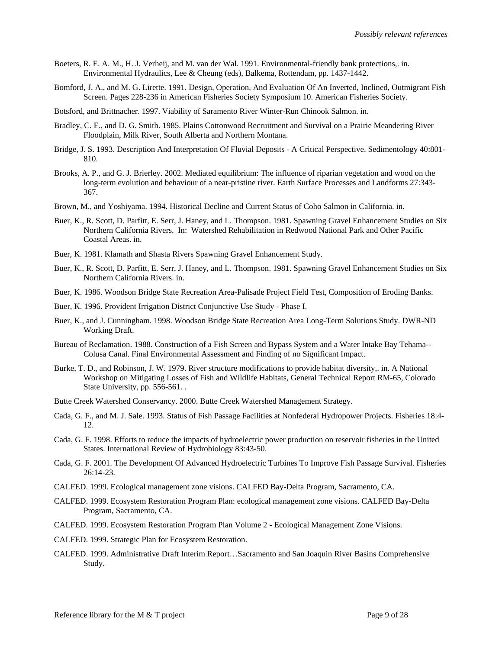- Boeters, R. E. A. M., H. J. Verheij, and M. van der Wal. 1991. Environmental-friendly bank protections,. in. Environmental Hydraulics, Lee & Cheung (eds), Balkema, Rottendam, pp. 1437-1442.
- Bomford, J. A., and M. G. Lirette. 1991. Design, Operation, And Evaluation Of An Inverted, Inclined, Outmigrant Fish Screen. Pages 228-236 in American Fisheries Society Symposium 10. American Fisheries Society.
- Botsford, and Brittnacher. 1997. Viability of Saramento River Winter-Run Chinook Salmon. in.
- Bradley, C. E., and D. G. Smith. 1985. Plains Cottonwood Recruitment and Survival on a Prairie Meandering River Floodplain, Milk River, South Alberta and Northern Montana.
- Bridge, J. S. 1993. Description And Interpretation Of Fluvial Deposits A Critical Perspective. Sedimentology 40:801- 810.
- Brooks, A. P., and G. J. Brierley. 2002. Mediated equilibrium: The influence of riparian vegetation and wood on the long-term evolution and behaviour of a near-pristine river. Earth Surface Processes and Landforms 27:343- 367.
- Brown, M., and Yoshiyama. 1994. Historical Decline and Current Status of Coho Salmon in California. in.
- Buer, K., R. Scott, D. Parfitt, E. Serr, J. Haney, and L. Thompson. 1981. Spawning Gravel Enhancement Studies on Six Northern California Rivers. In: Watershed Rehabilitation in Redwood National Park and Other Pacific Coastal Areas. in.
- Buer, K. 1981. Klamath and Shasta Rivers Spawning Gravel Enhancement Study.
- Buer, K., R. Scott, D. Parfitt, E. Serr, J. Haney, and L. Thompson. 1981. Spawning Gravel Enhancement Studies on Six Northern California Rivers. in.
- Buer, K. 1986. Woodson Bridge State Recreation Area-Palisade Project Field Test, Composition of Eroding Banks.
- Buer, K. 1996. Provident Irrigation District Conjunctive Use Study Phase I.
- Buer, K., and J. Cunningham. 1998. Woodson Bridge State Recreation Area Long-Term Solutions Study. DWR-ND Working Draft.
- Bureau of Reclamation. 1988. Construction of a Fish Screen and Bypass System and a Water Intake Bay Tehama-- Colusa Canal. Final Environmental Assessment and Finding of no Significant Impact.
- Burke, T. D., and Robinson, J. W. 1979. River structure modifications to provide habitat diversity,. in. A National Workshop on Mitigating Losses of Fish and Wildlife Habitats, General Technical Report RM-65, Colorado State University, pp. 556-561...
- Butte Creek Watershed Conservancy. 2000. Butte Creek Watershed Management Strategy.
- Cada, G. F., and M. J. Sale. 1993. Status of Fish Passage Facilities at Nonfederal Hydropower Projects. Fisheries 18:4- 12.
- Cada, G. F. 1998. Efforts to reduce the impacts of hydroelectric power production on reservoir fisheries in the United States. International Review of Hydrobiology 83:43-50.
- Cada, G. F. 2001. The Development Of Advanced Hydroelectric Turbines To Improve Fish Passage Survival. Fisheries 26:14-23.
- CALFED. 1999. Ecological management zone visions. CALFED Bay-Delta Program, Sacramento, CA.
- CALFED. 1999. Ecosystem Restoration Program Plan: ecological management zone visions. CALFED Bay-Delta Program, Sacramento, CA.
- CALFED. 1999. Ecosystem Restoration Program Plan Volume 2 Ecological Management Zone Visions.
- CALFED. 1999. Strategic Plan for Ecosystem Restoration.
- CALFED. 1999. Administrative Draft Interim Report…Sacramento and San Joaquin River Basins Comprehensive Study.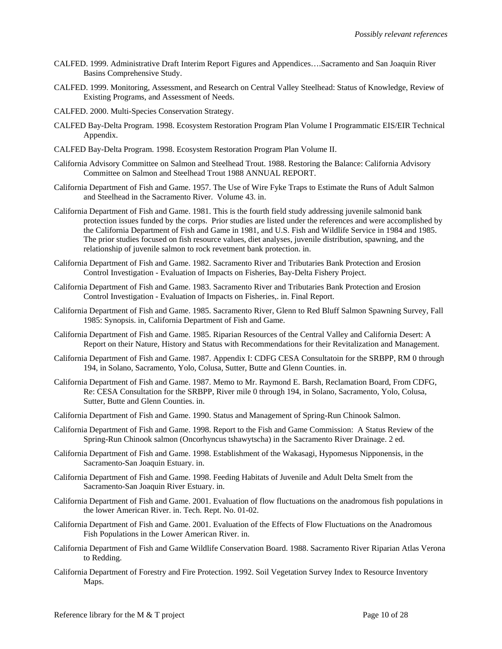- CALFED. 1999. Administrative Draft Interim Report Figures and Appendices….Sacramento and San Joaquin River Basins Comprehensive Study.
- CALFED. 1999. Monitoring, Assessment, and Research on Central Valley Steelhead: Status of Knowledge, Review of Existing Programs, and Assessment of Needs.
- CALFED. 2000. Multi-Species Conservation Strategy.
- CALFED Bay-Delta Program. 1998. Ecosystem Restoration Program Plan Volume I Programmatic EIS/EIR Technical Appendix.
- CALFED Bay-Delta Program. 1998. Ecosystem Restoration Program Plan Volume II.
- California Advisory Committee on Salmon and Steelhead Trout. 1988. Restoring the Balance: California Advisory Committee on Salmon and Steelhead Trout 1988 ANNUAL REPORT.
- California Department of Fish and Game. 1957. The Use of Wire Fyke Traps to Estimate the Runs of Adult Salmon and Steelhead in the Sacramento River. Volume 43. in.
- California Department of Fish and Game. 1981. This is the fourth field study addressing juvenile salmonid bank protection issues funded by the corps. Prior studies are listed under the references and were accomplished by the California Department of Fish and Game in 1981, and U.S. Fish and Wildlife Service in 1984 and 1985. The prior studies focused on fish resource values, diet analyses, juvenile distribution, spawning, and the relationship of juvenile salmon to rock revetment bank protection. in.
- California Department of Fish and Game. 1982. Sacramento River and Tributaries Bank Protection and Erosion Control Investigation - Evaluation of Impacts on Fisheries, Bay-Delta Fishery Project.
- California Department of Fish and Game. 1983. Sacramento River and Tributaries Bank Protection and Erosion Control Investigation - Evaluation of Impacts on Fisheries,. in. Final Report.
- California Department of Fish and Game. 1985. Sacramento River, Glenn to Red Bluff Salmon Spawning Survey, Fall 1985: Synopsis. in, California Department of Fish and Game.
- California Department of Fish and Game. 1985. Riparian Resources of the Central Valley and California Desert: A Report on their Nature, History and Status with Recommendations for their Revitalization and Management.
- California Department of Fish and Game. 1987. Appendix I: CDFG CESA Consultatoin for the SRBPP, RM 0 through 194, in Solano, Sacramento, Yolo, Colusa, Sutter, Butte and Glenn Counties. in.
- California Department of Fish and Game. 1987. Memo to Mr. Raymond E. Barsh, Reclamation Board, From CDFG, Re: CESA Consultation for the SRBPP, River mile 0 through 194, in Solano, Sacramento, Yolo, Colusa, Sutter, Butte and Glenn Counties. in.
- California Department of Fish and Game. 1990. Status and Management of Spring-Run Chinook Salmon.
- California Department of Fish and Game. 1998. Report to the Fish and Game Commission: A Status Review of the Spring-Run Chinook salmon (Oncorhyncus tshawytscha) in the Sacramento River Drainage. 2 ed.
- California Department of Fish and Game. 1998. Establishment of the Wakasagi, Hypomesus Nipponensis, in the Sacramento-San Joaquin Estuary. in.
- California Department of Fish and Game. 1998. Feeding Habitats of Juvenile and Adult Delta Smelt from the Sacramento-San Joaquin River Estuary. in.
- California Department of Fish and Game. 2001. Evaluation of flow fluctuations on the anadromous fish populations in the lower American River. in. Tech. Rept. No. 01-02.
- California Department of Fish and Game. 2001. Evaluation of the Effects of Flow Fluctuations on the Anadromous Fish Populations in the Lower American River. in.
- California Department of Fish and Game Wildlife Conservation Board. 1988. Sacramento River Riparian Atlas Verona to Redding.
- California Department of Forestry and Fire Protection. 1992. Soil Vegetation Survey Index to Resource Inventory Maps.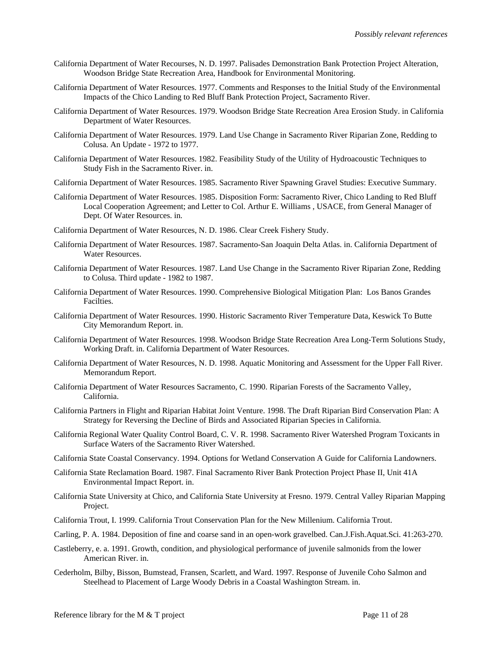- California Department of Water Recourses, N. D. 1997. Palisades Demonstration Bank Protection Project Alteration, Woodson Bridge State Recreation Area, Handbook for Environmental Monitoring.
- California Department of Water Resources. 1977. Comments and Responses to the Initial Study of the Environmental Impacts of the Chico Landing to Red Bluff Bank Protection Project, Sacramento River.
- California Department of Water Resources. 1979. Woodson Bridge State Recreation Area Erosion Study. in California Department of Water Resources.
- California Department of Water Resources. 1979. Land Use Change in Sacramento River Riparian Zone, Redding to Colusa. An Update - 1972 to 1977.
- California Department of Water Resources. 1982. Feasibility Study of the Utility of Hydroacoustic Techniques to Study Fish in the Sacramento River. in.
- California Department of Water Resources. 1985. Sacramento River Spawning Gravel Studies: Executive Summary.
- California Department of Water Resources. 1985. Disposition Form: Sacramento River, Chico Landing to Red Bluff Local Cooperation Agreement; and Letter to Col. Arthur E. Williams , USACE, from General Manager of Dept. Of Water Resources. in.
- California Department of Water Resources, N. D. 1986. Clear Creek Fishery Study.
- California Department of Water Resources. 1987. Sacramento-San Joaquin Delta Atlas. in. California Department of Water Resources.
- California Department of Water Resources. 1987. Land Use Change in the Sacramento River Riparian Zone, Redding to Colusa. Third update - 1982 to 1987.
- California Department of Water Resources. 1990. Comprehensive Biological Mitigation Plan: Los Banos Grandes Facilties.
- California Department of Water Resources. 1990. Historic Sacramento River Temperature Data, Keswick To Butte City Memorandum Report. in.
- California Department of Water Resources. 1998. Woodson Bridge State Recreation Area Long-Term Solutions Study, Working Draft. in. California Department of Water Resources.
- California Department of Water Resources, N. D. 1998. Aquatic Monitoring and Assessment for the Upper Fall River. Memorandum Report.
- California Department of Water Resources Sacramento, C. 1990. Riparian Forests of the Sacramento Valley, California.
- California Partners in Flight and Riparian Habitat Joint Venture. 1998. The Draft Riparian Bird Conservation Plan: A Strategy for Reversing the Decline of Birds and Associated Riparian Species in California.
- California Regional Water Quality Control Board, C. V. R. 1998. Sacramento River Watershed Program Toxicants in Surface Waters of the Sacramento River Watershed.
- California State Coastal Conservancy. 1994. Options for Wetland Conservation A Guide for California Landowners.
- California State Reclamation Board. 1987. Final Sacramento River Bank Protection Project Phase II, Unit 41A Environmental Impact Report. in.
- California State University at Chico, and California State University at Fresno. 1979. Central Valley Riparian Mapping Project.
- California Trout, I. 1999. California Trout Conservation Plan for the New Millenium. California Trout.
- Carling, P. A. 1984. Deposition of fine and coarse sand in an open-work gravelbed. Can.J.Fish.Aquat.Sci. 41:263-270.
- Castleberry, e. a. 1991. Growth, condition, and physiological performance of juvenile salmonids from the lower American River. in.
- Cederholm, Bilby, Bisson, Bumstead, Fransen, Scarlett, and Ward. 1997. Response of Juvenile Coho Salmon and Steelhead to Placement of Large Woody Debris in a Coastal Washington Stream. in.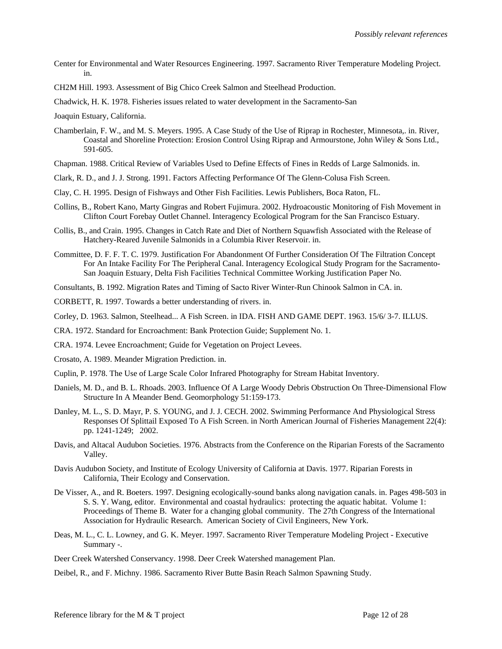- Center for Environmental and Water Resources Engineering. 1997. Sacramento River Temperature Modeling Project. in.
- CH2M Hill. 1993. Assessment of Big Chico Creek Salmon and Steelhead Production.
- Chadwick, H. K. 1978. Fisheries issues related to water development in the Sacramento-San

Joaquin Estuary, California.

- Chamberlain, F. W., and M. S. Meyers. 1995. A Case Study of the Use of Riprap in Rochester, Minnesota,. in. River, Coastal and Shoreline Protection: Erosion Control Using Riprap and Armourstone, John Wiley & Sons Ltd., 591-605.
- Chapman. 1988. Critical Review of Variables Used to Define Effects of Fines in Redds of Large Salmonids. in.
- Clark, R. D., and J. J. Strong. 1991. Factors Affecting Performance Of The Glenn-Colusa Fish Screen.
- Clay, C. H. 1995. Design of Fishways and Other Fish Facilities. Lewis Publishers, Boca Raton, FL.
- Collins, B., Robert Kano, Marty Gingras and Robert Fujimura. 2002. Hydroacoustic Monitoring of Fish Movement in Clifton Court Forebay Outlet Channel. Interagency Ecological Program for the San Francisco Estuary.
- Collis, B., and Crain. 1995. Changes in Catch Rate and Diet of Northern Squawfish Associated with the Release of Hatchery-Reared Juvenile Salmonids in a Columbia River Reservoir. in.
- Committee, D. F. F. T. C. 1979. Justification For Abandonment Of Further Consideration Of The Filtration Concept For An Intake Facility For The Peripheral Canal. Interagency Ecological Study Program for the Sacramento-San Joaquin Estuary, Delta Fish Facilities Technical Committee Working Justification Paper No.

Consultants, B. 1992. Migration Rates and Timing of Sacto River Winter-Run Chinook Salmon in CA. in.

CORBETT, R. 1997. Towards a better understanding of rivers. in.

Corley, D. 1963. Salmon, Steelhead... A Fish Screen. in IDA. FISH AND GAME DEPT. 1963. 15/6/ 3-7. ILLUS.

CRA. 1972. Standard for Encroachment: Bank Protection Guide; Supplement No. 1.

- CRA. 1974. Levee Encroachment; Guide for Vegetation on Project Levees.
- Crosato, A. 1989. Meander Migration Prediction. in.
- Cuplin, P. 1978. The Use of Large Scale Color Infrared Photography for Stream Habitat Inventory.
- Daniels, M. D., and B. L. Rhoads. 2003. Influence Of A Large Woody Debris Obstruction On Three-Dimensional Flow Structure In A Meander Bend. Geomorphology 51:159-173.
- Danley, M. L., S. D. Mayr, P. S. YOUNG, and J. J. CECH. 2002. Swimming Performance And Physiological Stress Responses Of Splittail Exposed To A Fish Screen. in North American Journal of Fisheries Management 22(4): pp. 1241-1249; 2002.
- Davis, and Altacal Audubon Societies. 1976. Abstracts from the Conference on the Riparian Forests of the Sacramento Valley.
- Davis Audubon Society, and Institute of Ecology University of California at Davis. 1977. Riparian Forests in California, Their Ecology and Conservation.
- De Visser, A., and R. Boeters. 1997. Designing ecologically-sound banks along navigation canals. in. Pages 498-503 in S. S. Y. Wang, editor. Environmental and coastal hydraulics: protecting the aquatic habitat. Volume 1: Proceedings of Theme B. Water for a changing global community. The 27th Congress of the International Association for Hydraulic Research. American Society of Civil Engineers, New York.
- Deas, M. L., C. L. Lowney, and G. K. Meyer. 1997. Sacramento River Temperature Modeling Project Executive Summary -.

Deer Creek Watershed Conservancy. 1998. Deer Creek Watershed management Plan.

Deibel, R., and F. Michny. 1986. Sacramento River Butte Basin Reach Salmon Spawning Study.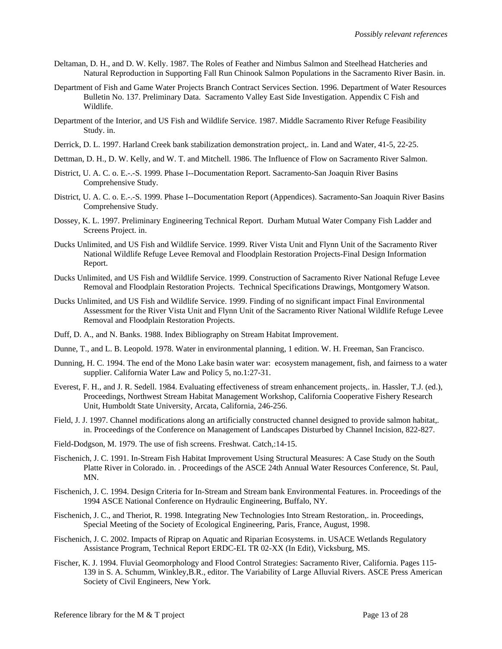- Deltaman, D. H., and D. W. Kelly. 1987. The Roles of Feather and Nimbus Salmon and Steelhead Hatcheries and Natural Reproduction in Supporting Fall Run Chinook Salmon Populations in the Sacramento River Basin. in.
- Department of Fish and Game Water Projects Branch Contract Services Section. 1996. Department of Water Resources Bulletin No. 137. Preliminary Data. Sacramento Valley East Side Investigation. Appendix C Fish and Wildlife.
- Department of the Interior, and US Fish and Wildlife Service. 1987. Middle Sacramento River Refuge Feasibility Study. in.
- Derrick, D. L. 1997. Harland Creek bank stabilization demonstration project,. in. Land and Water, 41-5, 22-25.
- Dettman, D. H., D. W. Kelly, and W. T. and Mitchell. 1986. The Influence of Flow on Sacramento River Salmon.
- District, U. A. C. o. E.-.-S. 1999. Phase I--Documentation Report. Sacramento-San Joaquin River Basins Comprehensive Study.
- District, U. A. C. o. E.-.-S. 1999. Phase I--Documentation Report (Appendices). Sacramento-San Joaquin River Basins Comprehensive Study.
- Dossey, K. L. 1997. Preliminary Engineering Technical Report. Durham Mutual Water Company Fish Ladder and Screens Project. in.
- Ducks Unlimited, and US Fish and Wildlife Service. 1999. River Vista Unit and Flynn Unit of the Sacramento River National Wildlife Refuge Levee Removal and Floodplain Restoration Projects-Final Design Information Report.
- Ducks Unlimited, and US Fish and Wildlife Service. 1999. Construction of Sacramento River National Refuge Levee Removal and Floodplain Restoration Projects. Technical Specifications Drawings, Montgomery Watson.
- Ducks Unlimited, and US Fish and Wildlife Service. 1999. Finding of no significant impact Final Environmental Assessment for the River Vista Unit and Flynn Unit of the Sacramento River National Wildlife Refuge Levee Removal and Floodplain Restoration Projects.
- Duff, D. A., and N. Banks. 1988. Index Bibliography on Stream Habitat Improvement.
- Dunne, T., and L. B. Leopold. 1978. Water in environmental planning, 1 edition. W. H. Freeman, San Francisco.
- Dunning, H. C. 1994. The end of the Mono Lake basin water war: ecosystem management, fish, and fairness to a water supplier. California Water Law and Policy 5, no.1:27-31.
- Everest, F. H., and J. R. Sedell. 1984. Evaluating effectiveness of stream enhancement projects,. in. Hassler, T.J. (ed.), Proceedings, Northwest Stream Habitat Management Workshop, California Cooperative Fishery Research Unit, Humboldt State University, Arcata, California, 246-256.
- Field, J. J. 1997. Channel modifications along an artificially constructed channel designed to provide salmon habitat,. in. Proceedings of the Conference on Management of Landscapes Disturbed by Channel Incision, 822-827.
- Field-Dodgson, M. 1979. The use of fish screens. Freshwat. Catch,:14-15.
- Fischenich, J. C. 1991. In-Stream Fish Habitat Improvement Using Structural Measures: A Case Study on the South Platte River in Colorado. in. . Proceedings of the ASCE 24th Annual Water Resources Conference, St. Paul, MN.
- Fischenich, J. C. 1994. Design Criteria for In-Stream and Stream bank Environmental Features. in. Proceedings of the 1994 ASCE National Conference on Hydraulic Engineering, Buffalo, NY.
- Fischenich, J. C., and Theriot, R. 1998. Integrating New Technologies Into Stream Restoration,. in. Proceedings, Special Meeting of the Society of Ecological Engineering, Paris, France, August, 1998.
- Fischenich, J. C. 2002. Impacts of Riprap on Aquatic and Riparian Ecosystems. in. USACE Wetlands Regulatory Assistance Program, Technical Report ERDC-EL TR 02-XX (In Edit), Vicksburg, MS.
- Fischer, K. J. 1994. Fluvial Geomorphology and Flood Control Strategies: Sacramento River, California. Pages 115- 139 in S. A. Schumm, Winkley,B.R., editor. The Variability of Large Alluvial Rivers. ASCE Press American Society of Civil Engineers, New York.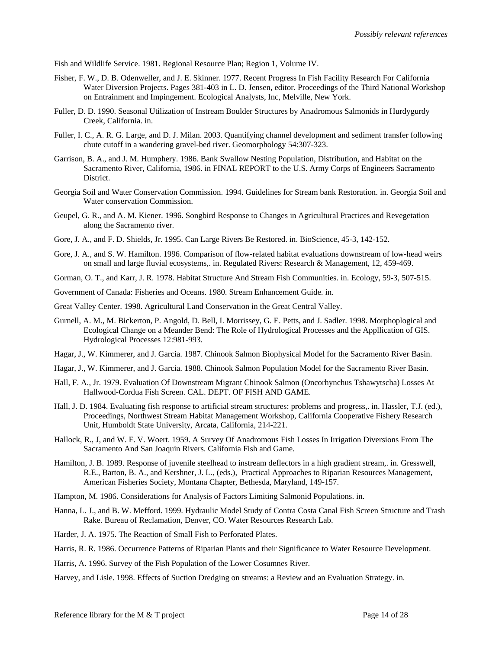Fish and Wildlife Service. 1981. Regional Resource Plan; Region 1, Volume IV.

- Fisher, F. W., D. B. Odenweller, and J. E. Skinner. 1977. Recent Progress In Fish Facility Research For California Water Diversion Projects. Pages 381-403 in L. D. Jensen, editor. Proceedings of the Third National Workshop on Entrainment and Impingement. Ecological Analysts, Inc, Melville, New York.
- Fuller, D. D. 1990. Seasonal Utilization of Instream Boulder Structures by Anadromous Salmonids in Hurdygurdy Creek, California. in.
- Fuller, I. C., A. R. G. Large, and D. J. Milan. 2003. Quantifying channel development and sediment transfer following chute cutoff in a wandering gravel-bed river. Geomorphology 54:307-323.
- Garrison, B. A., and J. M. Humphery. 1986. Bank Swallow Nesting Population, Distribution, and Habitat on the Sacramento River, California, 1986. in FINAL REPORT to the U.S. Army Corps of Engineers Sacramento District.
- Georgia Soil and Water Conservation Commission. 1994. Guidelines for Stream bank Restoration. in. Georgia Soil and Water conservation Commission.
- Geupel, G. R., and A. M. Kiener. 1996. Songbird Response to Changes in Agricultural Practices and Revegetation along the Sacramento river.
- Gore, J. A., and F. D. Shields, Jr. 1995. Can Large Rivers Be Restored. in. BioScience, 45-3, 142-152.
- Gore, J. A., and S. W. Hamilton. 1996. Comparison of flow-related habitat evaluations downstream of low-head weirs on small and large fluvial ecosystems,. in. Regulated Rivers: Research & Management, 12, 459-469.
- Gorman, O. T., and Karr, J. R. 1978. Habitat Structure And Stream Fish Communities. in. Ecology, 59-3, 507-515.
- Government of Canada: Fisheries and Oceans. 1980. Stream Enhancement Guide. in.
- Great Valley Center. 1998. Agricultural Land Conservation in the Great Central Valley.
- Gurnell, A. M., M. Bickerton, P. Angold, D. Bell, I. Morrissey, G. E. Petts, and J. Sadler. 1998. Morphoplogical and Ecological Change on a Meander Bend: The Role of Hydrological Processes and the Appllication of GIS. Hydrological Processes 12:981-993.
- Hagar, J., W. Kimmerer, and J. Garcia. 1987. Chinook Salmon Biophysical Model for the Sacramento River Basin.
- Hagar, J., W. Kimmerer, and J. Garcia. 1988. Chinook Salmon Population Model for the Sacramento River Basin.
- Hall, F. A., Jr. 1979. Evaluation Of Downstream Migrant Chinook Salmon (Oncorhynchus Tshawytscha) Losses At Hallwood-Cordua Fish Screen. CAL. DEPT. OF FISH AND GAME.
- Hall, J. D. 1984. Evaluating fish response to artificial stream structures: problems and progress,. in. Hassler, T.J. (ed.), Proceedings, Northwest Stream Habitat Management Workshop, California Cooperative Fishery Research Unit, Humboldt State University, Arcata, California, 214-221.
- Hallock, R., J, and W. F. V. Woert. 1959. A Survey Of Anadromous Fish Losses In Irrigation Diversions From The Sacramento And San Joaquin Rivers. California Fish and Game.
- Hamilton, J. B. 1989. Response of juvenile steelhead to instream deflectors in a high gradient stream,. in. Gresswell, R.E., Barton, B. A., and Kershner, J. L., (eds.), Practical Approaches to Riparian Resources Management, American Fisheries Society, Montana Chapter, Bethesda, Maryland, 149-157.
- Hampton, M. 1986. Considerations for Analysis of Factors Limiting Salmonid Populations. in.
- Hanna, L. J., and B. W. Mefford. 1999. Hydraulic Model Study of Contra Costa Canal Fish Screen Structure and Trash Rake. Bureau of Reclamation, Denver, CO. Water Resources Research Lab.
- Harder, J. A. 1975. The Reaction of Small Fish to Perforated Plates.
- Harris, R. R. 1986. Occurrence Patterns of Riparian Plants and their Significance to Water Resource Development.
- Harris, A. 1996. Survey of the Fish Population of the Lower Cosumnes River.
- Harvey, and Lisle. 1998. Effects of Suction Dredging on streams: a Review and an Evaluation Strategy. in.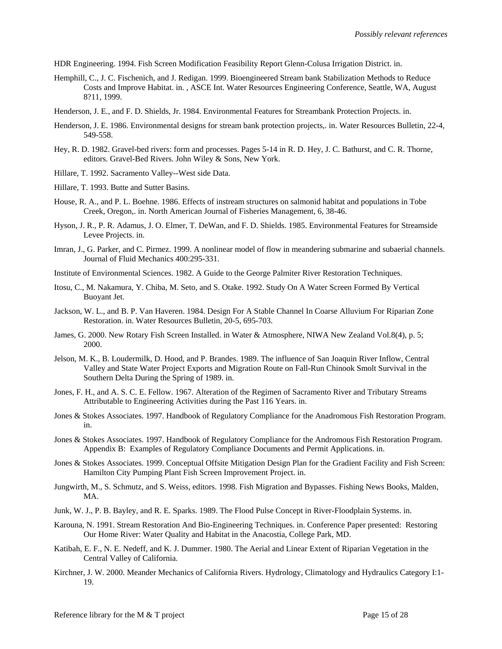HDR Engineering. 1994. Fish Screen Modification Feasibility Report Glenn-Colusa Irrigation District. in.

- Hemphill, C., J. C. Fischenich, and J. Redigan. 1999. Bioengineered Stream bank Stabilization Methods to Reduce Costs and Improve Habitat. in. , ASCE Int. Water Resources Engineering Conference, Seattle, WA, August 8?11, 1999.
- Henderson, J. E., and F. D. Shields, Jr. 1984. Environmental Features for Streambank Protection Projects. in.
- Henderson, J. E. 1986. Environmental designs for stream bank protection projects,. in. Water Resources Bulletin, 22-4, 549-558.
- Hey, R. D. 1982. Gravel-bed rivers: form and processes. Pages 5-14 in R. D. Hey, J. C. Bathurst, and C. R. Thorne, editors. Gravel-Bed Rivers. John Wiley & Sons, New York.
- Hillare, T. 1992. Sacramento Valley--West side Data.
- Hillare, T. 1993. Butte and Sutter Basins.
- House, R. A., and P. L. Boehne. 1986. Effects of instream structures on salmonid habitat and populations in Tobe Creek, Oregon,. in. North American Journal of Fisheries Management, 6, 38-46.
- Hyson, J. R., P. R. Adamus, J. O. Elmer, T. DeWan, and F. D. Shields. 1985. Environmental Features for Streamside Levee Projects. in.
- Imran, J., G. Parker, and C. Pirmez. 1999. A nonlinear model of flow in meandering submarine and subaerial channels. Journal of Fluid Mechanics 400:295-331.
- Institute of Environmental Sciences. 1982. A Guide to the George Palmiter River Restoration Techniques.
- Itosu, C., M. Nakamura, Y. Chiba, M. Seto, and S. Otake. 1992. Study On A Water Screen Formed By Vertical Buoyant Jet.
- Jackson, W. L., and B. P. Van Haveren. 1984. Design For A Stable Channel In Coarse Alluvium For Riparian Zone Restoration. in. Water Resources Bulletin, 20-5, 695-703.
- James, G. 2000. New Rotary Fish Screen Installed. in Water & Atmosphere, NIWA New Zealand Vol.8(4), p. 5; 2000.
- Jelson, M. K., B. Loudermilk, D. Hood, and P. Brandes. 1989. The influence of San Joaquin River Inflow, Central Valley and State Water Project Exports and Migration Route on Fall-Run Chinook Smolt Survival in the Southern Delta During the Spring of 1989. in.
- Jones, F. H., and A. S. C. E. Fellow. 1967. Alteration of the Regimen of Sacramento River and Tributary Streams Attributable to Engineering Activities during the Past 116 Years. in.
- Jones & Stokes Associates. 1997. Handbook of Regulatory Compliance for the Anadromous Fish Restoration Program. in.
- Jones & Stokes Associates. 1997. Handbook of Regulatory Compliance for the Andromous Fish Restoration Program. Appendix B: Examples of Regulatory Compliance Documents and Permit Applications. in.
- Jones & Stokes Associates. 1999. Conceptual Offsite Mitigation Design Plan for the Gradient Facility and Fish Screen: Hamilton City Pumping Plant Fish Screen Improvement Project. in.
- Jungwirth, M., S. Schmutz, and S. Weiss, editors. 1998. Fish Migration and Bypasses. Fishing News Books, Malden, MA.
- Junk, W. J., P. B. Bayley, and R. E. Sparks. 1989. The Flood Pulse Concept in River-Floodplain Systems. in.
- Karouna, N. 1991. Stream Restoration And Bio-Engineering Techniques. in. Conference Paper presented: Restoring Our Home River: Water Quality and Habitat in the Anacostia, College Park, MD.
- Katibah, E. F., N. E. Nedeff, and K. J. Dummer. 1980. The Aerial and Linear Extent of Riparian Vegetation in the Central Valley of California.
- Kirchner, J. W. 2000. Meander Mechanics of California Rivers. Hydrology, Climatology and Hydraulics Category I:1- 19.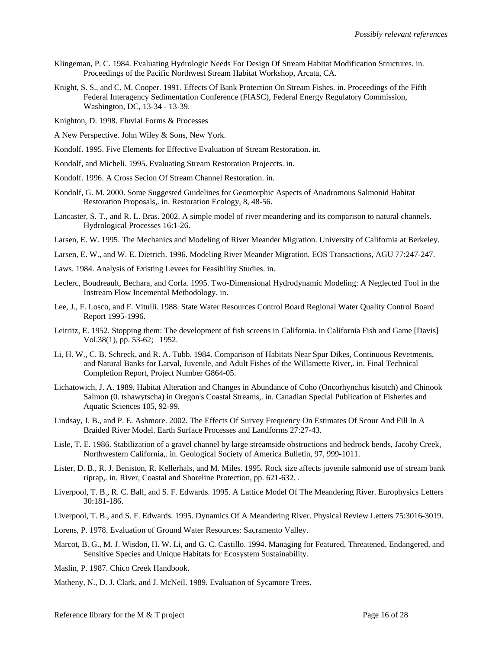- Klingeman, P. C. 1984. Evaluating Hydrologic Needs For Design Of Stream Habitat Modification Structures. in. Proceedings of the Pacific Northwest Stream Habitat Workshop, Arcata, CA.
- Knight, S. S., and C. M. Cooper. 1991. Effects Of Bank Protection On Stream Fishes. in. Proceedings of the Fifth Federal Interagency Sedimentation Conference (FIASC), Federal Energy Regulatory Commission, Washington, DC, 13-34 - 13-39.
- Knighton, D. 1998. Fluvial Forms & Processes
- A New Perspective. John Wiley & Sons, New York.
- Kondolf. 1995. Five Elements for Effective Evaluation of Stream Restoration. in.
- Kondolf, and Micheli. 1995. Evaluating Stream Restoration Projeccts. in.
- Kondolf. 1996. A Cross Secion Of Stream Channel Restoration. in.
- Kondolf, G. M. 2000. Some Suggested Guidelines for Geomorphic Aspects of Anadromous Salmonid Habitat Restoration Proposals,. in. Restoration Ecology, 8, 48-56.
- Lancaster, S. T., and R. L. Bras. 2002. A simple model of river meandering and its comparison to natural channels. Hydrological Processes 16:1-26.
- Larsen, E. W. 1995. The Mechanics and Modeling of River Meander Migration. University of California at Berkeley.
- Larsen, E. W., and W. E. Dietrich. 1996. Modeling River Meander Migration. EOS Transactions, AGU 77:247-247.
- Laws. 1984. Analysis of Existing Levees for Feasibility Studies. in.
- Leclerc, Boudreault, Bechara, and Corfa. 1995. Two-Dimensional Hydrodynamic Modeling: A Neglected Tool in the Instream Flow Incemental Methodology. in.
- Lee, J., F. Losco, and F. Vitulli. 1988. State Water Resources Control Board Regional Water Quality Control Board Report 1995-1996.
- Leitritz, E. 1952. Stopping them: The development of fish screens in California. in California Fish and Game [Davis] Vol.38(1), pp. 53-62; 1952.
- Li, H. W., C. B. Schreck, and R. A. Tubb. 1984. Comparison of Habitats Near Spur Dikes, Continuous Revetments, and Natural Banks for Larval, Juvenile, and Adult Fishes of the Willamette River,. in. Final Technical Completion Report, Project Number G864-05.
- Lichatowich, J. A. 1989. Habitat Alteration and Changes in Abundance of Coho (Oncorhynchus kisutch) and Chinook Salmon (0. tshawytscha) in Oregon's Coastal Streams,. in. Canadian Special Publication of Fisheries and Aquatic Sciences 105, 92-99.
- Lindsay, J. B., and P. E. Ashmore. 2002. The Effects Of Survey Frequency On Estimates Of Scour And Fill In A Braided River Model. Earth Surface Processes and Landforms 27:27-43.
- Lisle, T. E. 1986. Stabilization of a gravel channel by large streamside obstructions and bedrock bends, Jacoby Creek, Northwestern California,. in. Geological Society of America Bulletin, 97, 999-1011.
- Lister, D. B., R. J. Beniston, R. Kellerhals, and M. Miles. 1995. Rock size affects juvenile salmonid use of stream bank riprap,. in. River, Coastal and Shoreline Protection, pp. 621-632. .
- Liverpool, T. B., R. C. Ball, and S. F. Edwards. 1995. A Lattice Model Of The Meandering River. Europhysics Letters 30:181-186.
- Liverpool, T. B., and S. F. Edwards. 1995. Dynamics Of A Meandering River. Physical Review Letters 75:3016-3019.
- Lorens, P. 1978. Evaluation of Ground Water Resources: Sacramento Valley.
- Marcot, B. G., M. J. Wisdon, H. W. Li, and G. C. Castillo. 1994. Managing for Featured, Threatened, Endangered, and Sensitive Species and Unique Habitats for Ecosystem Sustainability.
- Maslin, P. 1987. Chico Creek Handbook.
- Matheny, N., D. J. Clark, and J. McNeil. 1989. Evaluation of Sycamore Trees.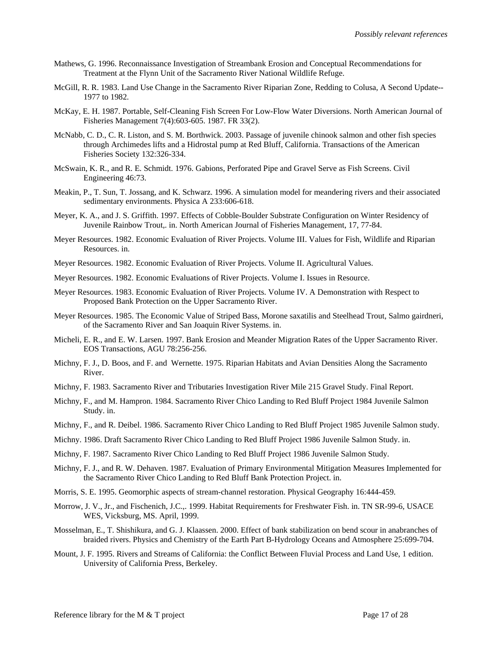- Mathews, G. 1996. Reconnaissance Investigation of Streambank Erosion and Conceptual Recommendations for Treatment at the Flynn Unit of the Sacramento River National Wildlife Refuge.
- McGill, R. R. 1983. Land Use Change in the Sacramento River Riparian Zone, Redding to Colusa, A Second Update-- 1977 to 1982.
- McKay, E. H. 1987. Portable, Self-Cleaning Fish Screen For Low-Flow Water Diversions. North American Journal of Fisheries Management 7(4):603-605. 1987. FR 33(2).
- McNabb, C. D., C. R. Liston, and S. M. Borthwick. 2003. Passage of juvenile chinook salmon and other fish species through Archimedes lifts and a Hidrostal pump at Red Bluff, California. Transactions of the American Fisheries Society 132:326-334.
- McSwain, K. R., and R. E. Schmidt. 1976. Gabions, Perforated Pipe and Gravel Serve as Fish Screens. Civil Engineering 46:73.
- Meakin, P., T. Sun, T. Jossang, and K. Schwarz. 1996. A simulation model for meandering rivers and their associated sedimentary environments. Physica A 233:606-618.
- Meyer, K. A., and J. S. Griffith. 1997. Effects of Cobble-Boulder Substrate Configuration on Winter Residency of Juvenile Rainbow Trout,. in. North American Journal of Fisheries Management, 17, 77-84.
- Meyer Resources. 1982. Economic Evaluation of River Projects. Volume III. Values for Fish, Wildlife and Riparian Resources. in.
- Meyer Resources. 1982. Economic Evaluation of River Projects. Volume II. Agricultural Values.
- Meyer Resources. 1982. Economic Evaluations of River Projects. Volume I. Issues in Resource.
- Meyer Resources. 1983. Economic Evaluation of River Projects. Volume IV. A Demonstration with Respect to Proposed Bank Protection on the Upper Sacramento River.
- Meyer Resources. 1985. The Economic Value of Striped Bass, Morone saxatilis and Steelhead Trout, Salmo gairdneri, of the Sacramento River and San Joaquin River Systems. in.
- Micheli, E. R., and E. W. Larsen. 1997. Bank Erosion and Meander Migration Rates of the Upper Sacramento River. EOS Transactions, AGU 78:256-256.
- Michny, F. J., D. Boos, and F. and Wernette. 1975. Riparian Habitats and Avian Densities Along the Sacramento River.
- Michny, F. 1983. Sacramento River and Tributaries Investigation River Mile 215 Gravel Study. Final Report.
- Michny, F., and M. Hampron. 1984. Sacramento River Chico Landing to Red Bluff Project 1984 Juvenile Salmon Study. in.
- Michny, F., and R. Deibel. 1986. Sacramento River Chico Landing to Red Bluff Project 1985 Juvenile Salmon study.
- Michny. 1986. Draft Sacramento River Chico Landing to Red Bluff Project 1986 Juvenile Salmon Study. in.
- Michny, F. 1987. Sacramento River Chico Landing to Red Bluff Project 1986 Juvenile Salmon Study.
- Michny, F. J., and R. W. Dehaven. 1987. Evaluation of Primary Environmental Mitigation Measures Implemented for the Sacramento River Chico Landing to Red Bluff Bank Protection Project. in.
- Morris, S. E. 1995. Geomorphic aspects of stream-channel restoration. Physical Geography 16:444-459.
- Morrow, J. V., Jr., and Fischenich, J.C.,. 1999. Habitat Requirements for Freshwater Fish. in. TN SR-99-6, USACE WES, Vicksburg, MS. April, 1999.
- Mosselman, E., T. Shishikura, and G. J. Klaassen. 2000. Effect of bank stabilization on bend scour in anabranches of braided rivers. Physics and Chemistry of the Earth Part B-Hydrology Oceans and Atmosphere 25:699-704.
- Mount, J. F. 1995. Rivers and Streams of California: the Conflict Between Fluvial Process and Land Use, 1 edition. University of California Press, Berkeley.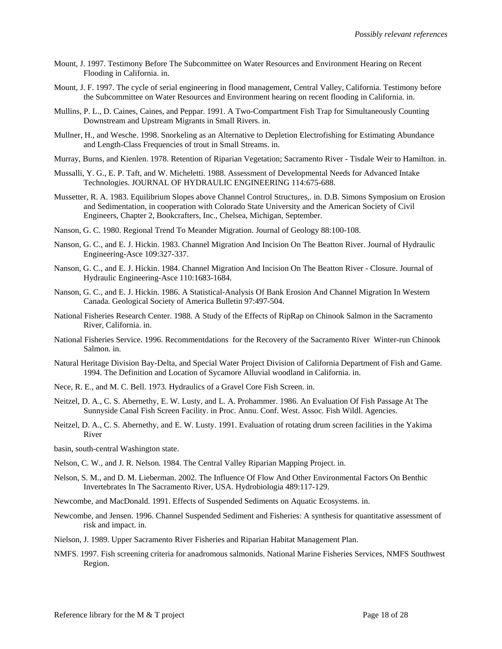- Mount, J. 1997. Testimony Before The Subcommittee on Water Resources and Environment Hearing on Recent Flooding in California. in.
- Mount, J. F. 1997. The cycle of serial engineering in flood management, Central Valley, California. Testimony before the Subcommittee on Water Resources and Environment hearing on recent flooding in California. in.
- Mullins, P. L., D. Caines, Caines, and Peppar. 1991. A Two-Compartment Fish Trap for Simultaneously Counting Downstream and Upstream Migrants in Small Rivers. in.
- Mullner, H., and Wesche. 1998. Snorkeling as an Alternative to Depletion Electrofishing for Estimating Abundance and Length-Class Frequencies of trout in Small Streams. in.
- Murray, Burns, and Kienlen. 1978. Retention of Riparian Vegetation; Sacramento River Tisdale Weir to Hamilton. in.
- Mussalli, Y. G., E. P. Taft, and W. Micheletti. 1988. Assessment of Developmental Needs for Advanced Intake Technologies. JOURNAL OF HYDRAULIC ENGINEERING 114:675-688.
- Mussetter, R. A. 1983. Equilibrium Slopes above Channel Control Structures,. in. D.B. Simons Symposium on Erosion and Sedimentation, in cooperation with Colorado State University and the American Society of Civil Engineers, Chapter 2, Bookcrafters, Inc., Chelsea, Michigan, September.
- Nanson, G. C. 1980. Regional Trend To Meander Migration. Journal of Geology 88:100-108.
- Nanson, G. C., and E. J. Hickin. 1983. Channel Migration And Incision On The Beatton River. Journal of Hydraulic Engineering-Asce 109:327-337.
- Nanson, G. C., and E. J. Hickin. 1984. Channel Migration And Incision On The Beatton River Closure. Journal of Hydraulic Engineering-Asce 110:1683-1684.
- Nanson, G. C., and E. J. Hickin. 1986. A Statistical-Analysis Of Bank Erosion And Channel Migration In Western Canada. Geological Society of America Bulletin 97:497-504.
- National Fisheries Research Center. 1988. A Study of the Effects of RipRap on Chinook Salmon in the Sacramento River, California. in.
- National Fisheries Service. 1996. Recommentdations for the Recovery of the Sacramento River Winter-run Chinook Salmon. in.
- Natural Heritage Division Bay-Delta, and Special Water Project Division of California Department of Fish and Game. 1994. The Definition and Location of Sycamore Alluvial woodland in California. in.
- Nece, R. E., and M. C. Bell. 1973. Hydraulics of a Gravel Core Fish Screen. in.
- Neitzel, D. A., C. S. Abernethy, E. W. Lusty, and L. A. Prohammer. 1986. An Evaluation Of Fish Passage At The Sunnyside Canal Fish Screen Facility. in Proc. Annu. Conf. West. Assoc. Fish Wildl. Agencies.
- Neitzel, D. A., C. S. Abernethy, and E. W. Lusty. 1991. Evaluation of rotating drum screen facilities in the Yakima River

basin, south-central Washington state.

- Nelson, C. W., and J. R. Nelson. 1984. The Central Valley Riparian Mapping Project. in.
- Nelson, S. M., and D. M. Lieberman. 2002. The Influence Of Flow And Other Environmental Factors On Benthic Invertebrates In The Sacramento River, USA. Hydrobiologia 489:117-129.
- Newcombe, and MacDonald. 1991. Effects of Suspended Sediments on Aquatic Ecosystems. in.
- Newcombe, and Jensen. 1996. Channel Suspended Sediment and Fisheries: A synthesis for quantitative assessment of risk and impact. in.
- Nielson, J. 1989. Upper Sacramento River Fisheries and Riparian Habitat Management Plan.
- NMFS. 1997. Fish screening criteria for anadromous salmonids. National Marine Fisheries Services, NMFS Southwest Region.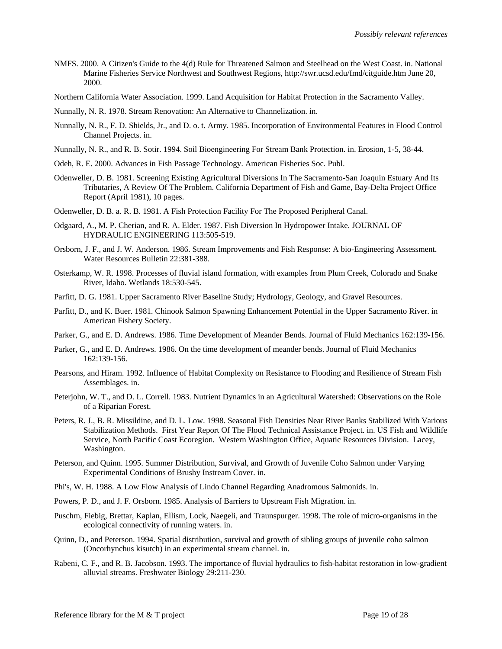- NMFS. 2000. A Citizen's Guide to the 4(d) Rule for Threatened Salmon and Steelhead on the West Coast. in. National Marine Fisheries Service Northwest and Southwest Regions, http://swr.ucsd.edu/fmd/citguide.htm June 20, 2000.
- Northern California Water Association. 1999. Land Acquisition for Habitat Protection in the Sacramento Valley.
- Nunnally, N. R. 1978. Stream Renovation: An Alternative to Channelization. in.
- Nunnally, N. R., F. D. Shields, Jr., and D. o. t. Army. 1985. Incorporation of Environmental Features in Flood Control Channel Projects. in.
- Nunnally, N. R., and R. B. Sotir. 1994. Soil Bioengineering For Stream Bank Protection. in. Erosion, 1-5, 38-44.
- Odeh, R. E. 2000. Advances in Fish Passage Technology. American Fisheries Soc. Publ.
- Odenweller, D. B. 1981. Screening Existing Agricultural Diversions In The Sacramento-San Joaquin Estuary And Its Tributaries, A Review Of The Problem. California Department of Fish and Game, Bay-Delta Project Office Report (April 1981), 10 pages.
- Odenweller, D. B. a. R. B. 1981. A Fish Protection Facility For The Proposed Peripheral Canal.
- Odgaard, A., M. P. Cherian, and R. A. Elder. 1987. Fish Diversion In Hydropower Intake. JOURNAL OF HYDRAULIC ENGINEERING 113:505-519.
- Orsborn, J. F., and J. W. Anderson. 1986. Stream Improvements and Fish Response: A bio-Engineering Assessment. Water Resources Bulletin 22:381-388.
- Osterkamp, W. R. 1998. Processes of fluvial island formation, with examples from Plum Creek, Colorado and Snake River, Idaho. Wetlands 18:530-545.
- Parfitt, D. G. 1981. Upper Sacramento River Baseline Study; Hydrology, Geology, and Gravel Resources.
- Parfitt, D., and K. Buer. 1981. Chinook Salmon Spawning Enhancement Potential in the Upper Sacramento River. in American Fishery Society.
- Parker, G., and E. D. Andrews. 1986. Time Development of Meander Bends. Journal of Fluid Mechanics 162:139-156.
- Parker, G., and E. D. Andrews. 1986. On the time development of meander bends. Journal of Fluid Mechanics 162:139-156.
- Pearsons, and Hiram. 1992. Influence of Habitat Complexity on Resistance to Flooding and Resilience of Stream Fish Assemblages. in.
- Peterjohn, W. T., and D. L. Correll. 1983. Nutrient Dynamics in an Agricultural Watershed: Observations on the Role of a Riparian Forest.
- Peters, R. J., B. R. Missildine, and D. L. Low. 1998. Seasonal Fish Densities Near River Banks Stabilized With Various Stabilization Methods. First Year Report Of The Flood Technical Assistance Project. in. US Fish and Wildlife Service, North Pacific Coast Ecoregion. Western Washington Office, Aquatic Resources Division. Lacey, Washington.
- Peterson, and Quinn. 1995. Summer Distribution, Survival, and Growth of Juvenile Coho Salmon under Varying Experimental Conditions of Brushy Instream Cover. in.
- Phi's, W. H. 1988. A Low Flow Analysis of Lindo Channel Regarding Anadromous Salmonids. in.
- Powers, P. D., and J. F. Orsborn. 1985. Analysis of Barriers to Upstream Fish Migration. in.
- Puschm, Fiebig, Brettar, Kaplan, Ellism, Lock, Naegeli, and Traunspurger. 1998. The role of micro-organisms in the ecological connectivity of running waters. in.
- Quinn, D., and Peterson. 1994. Spatial distribution, survival and growth of sibling groups of juvenile coho salmon (Oncorhynchus kisutch) in an experimental stream channel. in.
- Rabeni, C. F., and R. B. Jacobson. 1993. The importance of fluvial hydraulics to fish-habitat restoration in low-gradient alluvial streams. Freshwater Biology 29:211-230.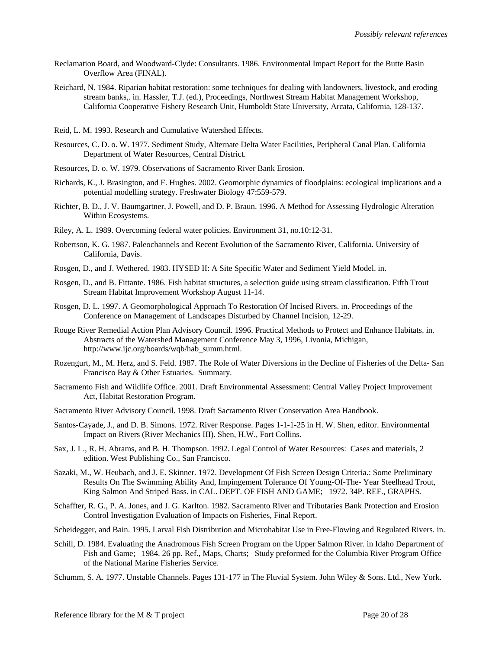- Reclamation Board, and Woodward-Clyde: Consultants. 1986. Environmental Impact Report for the Butte Basin Overflow Area (FINAL).
- Reichard, N. 1984. Riparian habitat restoration: some techniques for dealing with landowners, livestock, and eroding stream banks,. in. Hassler, T.J. (ed.), Proceedings, Northwest Stream Habitat Management Workshop, California Cooperative Fishery Research Unit, Humboldt State University, Arcata, California, 128-137.
- Reid, L. M. 1993. Research and Cumulative Watershed Effects.
- Resources, C. D. o. W. 1977. Sediment Study, Alternate Delta Water Facilities, Peripheral Canal Plan. California Department of Water Resources, Central District.
- Resources, D. o. W. 1979. Observations of Sacramento River Bank Erosion.
- Richards, K., J. Brasington, and F. Hughes. 2002. Geomorphic dynamics of floodplains: ecological implications and a potential modelling strategy. Freshwater Biology 47:559-579.
- Richter, B. D., J. V. Baumgartner, J. Powell, and D. P. Braun. 1996. A Method for Assessing Hydrologic Alteration Within Ecosystems.
- Riley, A. L. 1989. Overcoming federal water policies. Environment 31, no.10:12-31.
- Robertson, K. G. 1987. Paleochannels and Recent Evolution of the Sacramento River, California. University of California, Davis.
- Rosgen, D., and J. Wethered. 1983. HYSED II: A Site Specific Water and Sediment Yield Model. in.
- Rosgen, D., and B. Fittante. 1986. Fish habitat structures, a selection guide using stream classification. Fifth Trout Stream Habitat Improvement Workshop August 11-14.
- Rosgen, D. L. 1997. A Geomorphological Approach To Restoration Of Incised Rivers. in. Proceedings of the Conference on Management of Landscapes Disturbed by Channel Incision, 12-29.
- Rouge River Remedial Action Plan Advisory Council. 1996. Practical Methods to Protect and Enhance Habitats. in. Abstracts of the Watershed Management Conference May 3, 1996, Livonia, Michigan, http://www.ijc.org/boards/wqb/hab\_summ.html.
- Rozengurt, M., M. Herz, and S. Feld. 1987. The Role of Water Diversions in the Decline of Fisheries of the Delta- San Francisco Bay & Other Estuaries. Summary.
- Sacramento Fish and Wildlife Office. 2001. Draft Environmental Assessment: Central Valley Project Improvement Act, Habitat Restoration Program.
- Sacramento River Advisory Council. 1998. Draft Sacramento River Conservation Area Handbook.
- Santos-Cayade, J., and D. B. Simons. 1972. River Response. Pages 1-1-1-25 in H. W. Shen, editor. Environmental Impact on Rivers (River Mechanics III). Shen, H.W., Fort Collins.
- Sax, J. L., R. H. Abrams, and B. H. Thompson. 1992. Legal Control of Water Resources: Cases and materials, 2 edition. West Publishing Co., San Francisco.
- Sazaki, M., W. Heubach, and J. E. Skinner. 1972. Development Of Fish Screen Design Criteria.: Some Preliminary Results On The Swimming Ability And, Impingement Tolerance Of Young-Of-The- Year Steelhead Trout, King Salmon And Striped Bass. in CAL. DEPT. OF FISH AND GAME; 1972. 34P. REF., GRAPHS.
- Schaffter, R. G., P. A. Jones, and J. G. Karlton. 1982. Sacramento River and Tributaries Bank Protection and Erosion Control Investigation Evaluation of Impacts on Fisheries, Final Report.
- Scheidegger, and Bain. 1995. Larval Fish Distribution and Microhabitat Use in Free-Flowing and Regulated Rivers. in.
- Schill, D. 1984. Evaluating the Anadromous Fish Screen Program on the Upper Salmon River. in Idaho Department of Fish and Game; 1984. 26 pp. Ref., Maps, Charts; Study preformed for the Columbia River Program Office of the National Marine Fisheries Service.
- Schumm, S. A. 1977. Unstable Channels. Pages 131-177 in The Fluvial System. John Wiley & Sons. Ltd., New York.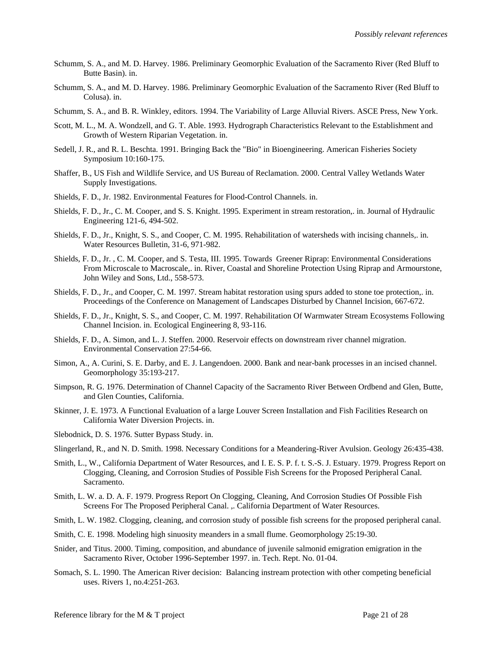- Schumm, S. A., and M. D. Harvey. 1986. Preliminary Geomorphic Evaluation of the Sacramento River (Red Bluff to Butte Basin). in.
- Schumm, S. A., and M. D. Harvey. 1986. Preliminary Geomorphic Evaluation of the Sacramento River (Red Bluff to Colusa). in.
- Schumm, S. A., and B. R. Winkley, editors. 1994. The Variability of Large Alluvial Rivers. ASCE Press, New York.
- Scott, M. L., M. A. Wondzell, and G. T. Able. 1993. Hydrograph Characteristics Relevant to the Establishment and Growth of Western Riparian Vegetation. in.
- Sedell, J. R., and R. L. Beschta. 1991. Bringing Back the "Bio" in Bioengineering. American Fisheries Society Symposium 10:160-175.
- Shaffer, B., US Fish and Wildlife Service, and US Bureau of Reclamation. 2000. Central Valley Wetlands Water Supply Investigations.
- Shields, F. D., Jr. 1982. Environmental Features for Flood-Control Channels. in.
- Shields, F. D., Jr., C. M. Cooper, and S. S. Knight. 1995. Experiment in stream restoration,. in. Journal of Hydraulic Engineering 121-6, 494-502.
- Shields, F. D., Jr., Knight, S. S., and Cooper, C. M. 1995. Rehabilitation of watersheds with incising channels,. in. Water Resources Bulletin, 31-6, 971-982.
- Shields, F. D., Jr. , C. M. Cooper, and S. Testa, III. 1995. Towards Greener Riprap: Environmental Considerations From Microscale to Macroscale,. in. River, Coastal and Shoreline Protection Using Riprap and Armourstone, John Wiley and Sons, Ltd., 558-573.
- Shields, F. D., Jr., and Cooper, C. M. 1997. Stream habitat restoration using spurs added to stone toe protection,. in. Proceedings of the Conference on Management of Landscapes Disturbed by Channel Incision, 667-672.
- Shields, F. D., Jr., Knight, S. S., and Cooper, C. M. 1997. Rehabilitation Of Warmwater Stream Ecosystems Following Channel Incision. in. Ecological Engineering 8, 93-116.
- Shields, F. D., A. Simon, and L. J. Steffen. 2000. Reservoir effects on downstream river channel migration. Environmental Conservation 27:54-66.
- Simon, A., A. Curini, S. E. Darby, and E. J. Langendoen. 2000. Bank and near-bank processes in an incised channel. Geomorphology 35:193-217.
- Simpson, R. G. 1976. Determination of Channel Capacity of the Sacramento River Between Ordbend and Glen, Butte, and Glen Counties, California.
- Skinner, J. E. 1973. A Functional Evaluation of a large Louver Screen Installation and Fish Facilities Research on California Water Diversion Projects. in.
- Slebodnick, D. S. 1976. Sutter Bypass Study. in.
- Slingerland, R., and N. D. Smith. 1998. Necessary Conditions for a Meandering-River Avulsion. Geology 26:435-438.
- Smith, L., W., California Department of Water Resources, and I. E. S. P. f. t. S.-S. J. Estuary. 1979. Progress Report on Clogging, Cleaning, and Corrosion Studies of Possible Fish Screens for the Proposed Peripheral Canal. Sacramento.
- Smith, L. W. a. D. A. F. 1979. Progress Report On Clogging, Cleaning, And Corrosion Studies Of Possible Fish Screens For The Proposed Peripheral Canal. ,. California Department of Water Resources.
- Smith, L. W. 1982. Clogging, cleaning, and corrosion study of possible fish screens for the proposed peripheral canal.
- Smith, C. E. 1998. Modeling high sinuosity meanders in a small flume. Geomorphology 25:19-30.
- Snider, and Titus. 2000. Timing, composition, and abundance of juvenile salmonid emigration emigration in the Sacramento River, October 1996-September 1997. in. Tech. Rept. No. 01-04.
- Somach, S. L. 1990. The American River decision: Balancing instream protection with other competing beneficial uses. Rivers 1, no.4:251-263.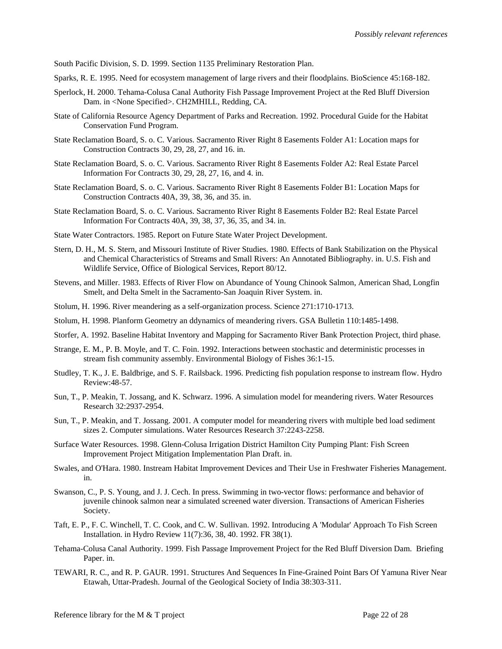South Pacific Division, S. D. 1999. Section 1135 Preliminary Restoration Plan.

- Sparks, R. E. 1995. Need for ecosystem management of large rivers and their floodplains. BioScience 45:168-182.
- Sperlock, H. 2000. Tehama-Colusa Canal Authority Fish Passage Improvement Project at the Red Bluff Diversion Dam. in <None Specified>. CH2MHILL, Redding, CA.
- State of California Resource Agency Department of Parks and Recreation. 1992. Procedural Guide for the Habitat Conservation Fund Program.
- State Reclamation Board, S. o. C. Various. Sacramento River Right 8 Easements Folder A1: Location maps for Construction Contracts 30, 29, 28, 27, and 16. in.
- State Reclamation Board, S. o. C. Various. Sacramento River Right 8 Easements Folder A2: Real Estate Parcel Information For Contracts 30, 29, 28, 27, 16, and 4. in.
- State Reclamation Board, S. o. C. Various. Sacramento River Right 8 Easements Folder B1: Location Maps for Construction Contracts 40A, 39, 38, 36, and 35. in.
- State Reclamation Board, S. o. C. Various. Sacramento River Right 8 Easements Folder B2: Real Estate Parcel Information For Contracts 40A, 39, 38, 37, 36, 35, and 34. in.
- State Water Contractors. 1985. Report on Future State Water Project Development.
- Stern, D. H., M. S. Stern, and Missouri Institute of River Studies. 1980. Effects of Bank Stabilization on the Physical and Chemical Characteristics of Streams and Small Rivers: An Annotated Bibliography. in. U.S. Fish and Wildlife Service, Office of Biological Services, Report 80/12.
- Stevens, and Miller. 1983. Effects of River Flow on Abundance of Young Chinook Salmon, American Shad, Longfin Smelt, and Delta Smelt in the Sacramento-San Joaquin River System. in.
- Stolum, H. 1996. River meandering as a self-organization process. Science 271:1710-1713.
- Stolum, H. 1998. Planform Geometry an ddynamics of meandering rivers. GSA Bulletin 110:1485-1498.
- Storfer, A. 1992. Baseline Habitat Inventory and Mapping for Sacramento River Bank Protection Project, third phase.
- Strange, E. M., P. B. Moyle, and T. C. Foin. 1992. Interactions between stochastic and deterministic processes in stream fish community assembly. Environmental Biology of Fishes 36:1-15.
- Studley, T. K., J. E. Baldbrige, and S. F. Railsback. 1996. Predicting fish population response to instream flow. Hydro Review:48-57.
- Sun, T., P. Meakin, T. Jossang, and K. Schwarz. 1996. A simulation model for meandering rivers. Water Resources Research 32:2937-2954.
- Sun, T., P. Meakin, and T. Jossang. 2001. A computer model for meandering rivers with multiple bed load sediment sizes 2. Computer simulations. Water Resources Research 37:2243-2258.
- Surface Water Resources. 1998. Glenn-Colusa Irrigation District Hamilton City Pumping Plant: Fish Screen Improvement Project Mitigation Implementation Plan Draft. in.
- Swales, and O'Hara. 1980. Instream Habitat Improvement Devices and Their Use in Freshwater Fisheries Management. in.
- Swanson, C., P. S. Young, and J. J. Cech. In press. Swimming in two-vector flows: performance and behavior of juvenile chinook salmon near a simulated screened water diversion. Transactions of American Fisheries Society.
- Taft, E. P., F. C. Winchell, T. C. Cook, and C. W. Sullivan. 1992. Introducing A 'Modular' Approach To Fish Screen Installation. in Hydro Review 11(7):36, 38, 40. 1992. FR 38(1).
- Tehama-Colusa Canal Authority. 1999. Fish Passage Improvement Project for the Red Bluff Diversion Dam. Briefing Paper. in.
- TEWARI, R. C., and R. P. GAUR. 1991. Structures And Sequences In Fine-Grained Point Bars Of Yamuna River Near Etawah, Uttar-Pradesh. Journal of the Geological Society of India 38:303-311.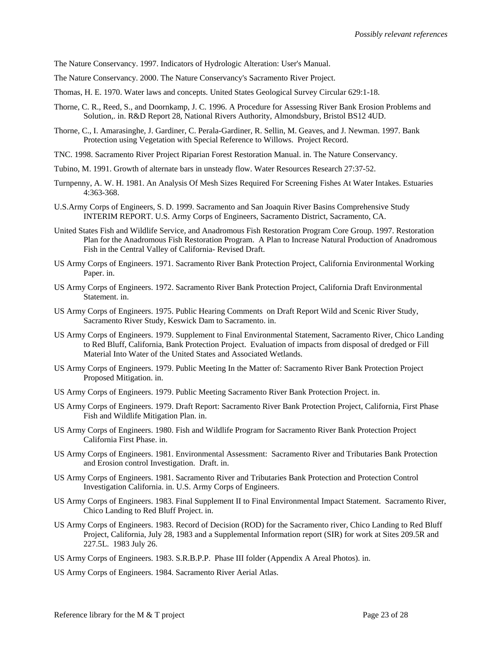The Nature Conservancy. 1997. Indicators of Hydrologic Alteration: User's Manual.

- The Nature Conservancy. 2000. The Nature Conservancy's Sacramento River Project.
- Thomas, H. E. 1970. Water laws and concepts. United States Geological Survey Circular 629:1-18.
- Thorne, C. R., Reed, S., and Doornkamp, J. C. 1996. A Procedure for Assessing River Bank Erosion Problems and Solution,. in. R&D Report 28, National Rivers Authority, Almondsbury, Bristol BS12 4UD.
- Thorne, C., I. Amarasinghe, J. Gardiner, C. Perala-Gardiner, R. Sellin, M. Geaves, and J. Newman. 1997. Bank Protection using Vegetation with Special Reference to Willows. Project Record.
- TNC. 1998. Sacramento River Project Riparian Forest Restoration Manual. in. The Nature Conservancy.
- Tubino, M. 1991. Growth of alternate bars in unsteady flow. Water Resources Research 27:37-52.
- Turnpenny, A. W. H. 1981. An Analysis Of Mesh Sizes Required For Screening Fishes At Water Intakes. Estuaries 4:363-368.
- U.S.Army Corps of Engineers, S. D. 1999. Sacramento and San Joaquin River Basins Comprehensive Study INTERIM REPORT. U.S. Army Corps of Engineers, Sacramento District, Sacramento, CA.
- United States Fish and Wildlife Service, and Anadromous Fish Restoration Program Core Group. 1997. Restoration Plan for the Anadromous Fish Restoration Program. A Plan to Increase Natural Production of Anadromous Fish in the Central Valley of California- Revised Draft.
- US Army Corps of Engineers. 1971. Sacramento River Bank Protection Project, California Environmental Working Paper. in.
- US Army Corps of Engineers. 1972. Sacramento River Bank Protection Project, California Draft Environmental Statement. in.
- US Army Corps of Engineers. 1975. Public Hearing Comments on Draft Report Wild and Scenic River Study, Sacramento River Study, Keswick Dam to Sacramento. in.
- US Army Corps of Engineers. 1979. Supplement to Final Environmental Statement, Sacramento River, Chico Landing to Red Bluff, California, Bank Protection Project. Evaluation of impacts from disposal of dredged or Fill Material Into Water of the United States and Associated Wetlands.
- US Army Corps of Engineers. 1979. Public Meeting In the Matter of: Sacramento River Bank Protection Project Proposed Mitigation. in.
- US Army Corps of Engineers. 1979. Public Meeting Sacramento River Bank Protection Project. in.
- US Army Corps of Engineers. 1979. Draft Report: Sacramento River Bank Protection Project, California, First Phase Fish and Wildlife Mitigation Plan. in.
- US Army Corps of Engineers. 1980. Fish and Wildlife Program for Sacramento River Bank Protection Project California First Phase. in.
- US Army Corps of Engineers. 1981. Environmental Assessment: Sacramento River and Tributaries Bank Protection and Erosion control Investigation. Draft. in.
- US Army Corps of Engineers. 1981. Sacramento River and Tributaries Bank Protection and Protection Control Investigation California. in. U.S. Army Corps of Engineers.
- US Army Corps of Engineers. 1983. Final Supplement II to Final Environmental Impact Statement. Sacramento River, Chico Landing to Red Bluff Project. in.
- US Army Corps of Engineers. 1983. Record of Decision (ROD) for the Sacramento river, Chico Landing to Red Bluff Project, California, July 28, 1983 and a Supplemental Information report (SIR) for work at Sites 209.5R and 227.5L. 1983 July 26.
- US Army Corps of Engineers. 1983. S.R.B.P.P. Phase III folder (Appendix A Areal Photos). in.
- US Army Corps of Engineers. 1984. Sacramento River Aerial Atlas.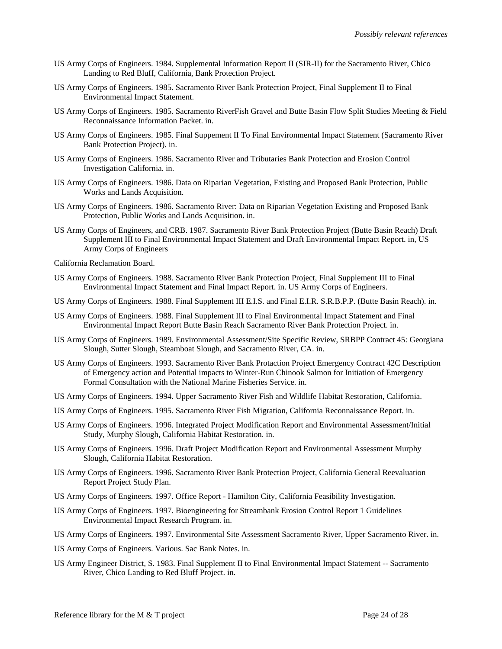- US Army Corps of Engineers. 1984. Supplemental Information Report II (SIR-II) for the Sacramento River, Chico Landing to Red Bluff, California, Bank Protection Project.
- US Army Corps of Engineers. 1985. Sacramento River Bank Protection Project, Final Supplement II to Final Environmental Impact Statement.
- US Army Corps of Engineers. 1985. Sacramento RiverFish Gravel and Butte Basin Flow Split Studies Meeting & Field Reconnaissance Information Packet. in.
- US Army Corps of Engineers. 1985. Final Suppement II To Final Environmental Impact Statement (Sacramento River Bank Protection Project). in.
- US Army Corps of Engineers. 1986. Sacramento River and Tributaries Bank Protection and Erosion Control Investigation California. in.
- US Army Corps of Engineers. 1986. Data on Riparian Vegetation, Existing and Proposed Bank Protection, Public Works and Lands Acquisition.
- US Army Corps of Engineers. 1986. Sacramento River: Data on Riparian Vegetation Existing and Proposed Bank Protection, Public Works and Lands Acquisition. in.
- US Army Corps of Engineers, and CRB. 1987. Sacramento River Bank Protection Project (Butte Basin Reach) Draft Supplement III to Final Environmental Impact Statement and Draft Environmental Impact Report. in, US Army Corps of Engineers

California Reclamation Board.

- US Army Corps of Engineers. 1988. Sacramento River Bank Protection Project, Final Supplement III to Final Environmental Impact Statement and Final Impact Report. in. US Army Corps of Engineers.
- US Army Corps of Engineers. 1988. Final Supplement III E.I.S. and Final E.I.R. S.R.B.P.P. (Butte Basin Reach). in.
- US Army Corps of Engineers. 1988. Final Supplement III to Final Environmental Impact Statement and Final Environmental Impact Report Butte Basin Reach Sacramento River Bank Protection Project. in.
- US Army Corps of Engineers. 1989. Environmental Assessment/Site Specific Review, SRBPP Contract 45: Georgiana Slough, Sutter Slough, Steamboat Slough, and Sacramento River, CA. in.
- US Army Corps of Engineers. 1993. Sacramento River Bank Protaction Project Emergency Contract 42C Description of Emergency action and Potential impacts to Winter-Run Chinook Salmon for Initiation of Emergency Formal Consultation with the National Marine Fisheries Service. in.
- US Army Corps of Engineers. 1994. Upper Sacramento River Fish and Wildlife Habitat Restoration, California.
- US Army Corps of Engineers. 1995. Sacramento River Fish Migration, California Reconnaissance Report. in.
- US Army Corps of Engineers. 1996. Integrated Project Modification Report and Environmental Assessment/Initial Study, Murphy Slough, California Habitat Restoration. in.
- US Army Corps of Engineers. 1996. Draft Project Modification Report and Environmental Assessment Murphy Slough, California Habitat Restoration.
- US Army Corps of Engineers. 1996. Sacramento River Bank Protection Project, California General Reevaluation Report Project Study Plan.
- US Army Corps of Engineers. 1997. Office Report Hamilton City, California Feasibility Investigation.
- US Army Corps of Engineers. 1997. Bioengineering for Streambank Erosion Control Report 1 Guidelines Environmental Impact Research Program. in.
- US Army Corps of Engineers. 1997. Environmental Site Assessment Sacramento River, Upper Sacramento River. in.
- US Army Corps of Engineers. Various. Sac Bank Notes. in.
- US Army Engineer District, S. 1983. Final Supplement II to Final Environmental Impact Statement -- Sacramento River, Chico Landing to Red Bluff Project. in.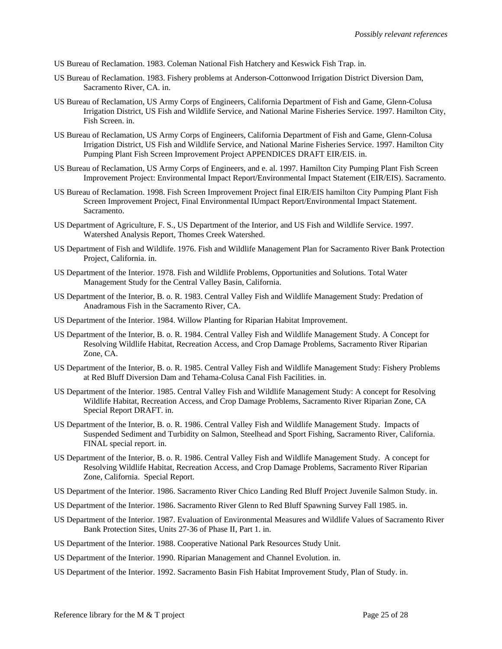US Bureau of Reclamation. 1983. Coleman National Fish Hatchery and Keswick Fish Trap. in.

- US Bureau of Reclamation. 1983. Fishery problems at Anderson-Cottonwood Irrigation District Diversion Dam, Sacramento River, CA. in.
- US Bureau of Reclamation, US Army Corps of Engineers, California Department of Fish and Game, Glenn-Colusa Irrigation District, US Fish and Wildlife Service, and National Marine Fisheries Service. 1997. Hamilton City, Fish Screen. in.
- US Bureau of Reclamation, US Army Corps of Engineers, California Department of Fish and Game, Glenn-Colusa Irrigation District, US Fish and Wildlife Service, and National Marine Fisheries Service. 1997. Hamilton City Pumping Plant Fish Screen Improvement Project APPENDICES DRAFT EIR/EIS. in.
- US Bureau of Reclamation, US Army Corps of Engineers, and e. al. 1997. Hamilton City Pumping Plant Fish Screen Improvement Project: Environmental Impact Report/Environmental Impact Statement (EIR/EIS). Sacramento.
- US Bureau of Reclamation. 1998. Fish Screen Improvement Project final EIR/EIS hamilton City Pumping Plant Fish Screen Improvement Project, Final Environmental IUmpact Report/Environmental Impact Statement. Sacramento.
- US Department of Agriculture, F. S., US Department of the Interior, and US Fish and Wildlife Service. 1997. Watershed Analysis Report, Thomes Creek Watershed.
- US Department of Fish and Wildlife. 1976. Fish and Wildlife Management Plan for Sacramento River Bank Protection Project, California. in.
- US Department of the Interior. 1978. Fish and Wildlife Problems, Opportunities and Solutions. Total Water Management Study for the Central Valley Basin, California.
- US Department of the Interior, B. o. R. 1983. Central Valley Fish and Wildlife Management Study: Predation of Anadramous Fish in the Sacramento River, CA.
- US Department of the Interior. 1984. Willow Planting for Riparian Habitat Improvement.
- US Department of the Interior, B. o. R. 1984. Central Valley Fish and Wildlife Management Study. A Concept for Resolving Wildlife Habitat, Recreation Access, and Crop Damage Problems, Sacramento River Riparian Zone, CA.
- US Department of the Interior, B. o. R. 1985. Central Valley Fish and Wildlife Management Study: Fishery Problems at Red Bluff Diversion Dam and Tehama-Colusa Canal Fish Facilities. in.
- US Department of the Interior. 1985. Central Valley Fish and Wildlife Management Study: A concept for Resolving Wildlife Habitat, Recreation Access, and Crop Damage Problems, Sacramento River Riparian Zone, CA Special Report DRAFT. in.
- US Department of the Interior, B. o. R. 1986. Central Valley Fish and Wildlife Management Study. Impacts of Suspended Sediment and Turbidity on Salmon, Steelhead and Sport Fishing, Sacramento River, California. FINAL special report. in.
- US Department of the Interior, B. o. R. 1986. Central Valley Fish and Wildlife Management Study. A concept for Resolving Wildlife Habitat, Recreation Access, and Crop Damage Problems, Sacramento River Riparian Zone, California. Special Report.
- US Department of the Interior. 1986. Sacramento River Chico Landing Red Bluff Project Juvenile Salmon Study. in.
- US Department of the Interior. 1986. Sacramento River Glenn to Red Bluff Spawning Survey Fall 1985. in.
- US Department of the Interior. 1987. Evaluation of Environmental Measures and Wildlife Values of Sacramento River Bank Protection Sites, Units 27-36 of Phase II, Part 1. in.
- US Department of the Interior. 1988. Cooperative National Park Resources Study Unit.
- US Department of the Interior. 1990. Riparian Management and Channel Evolution. in.
- US Department of the Interior. 1992. Sacramento Basin Fish Habitat Improvement Study, Plan of Study. in.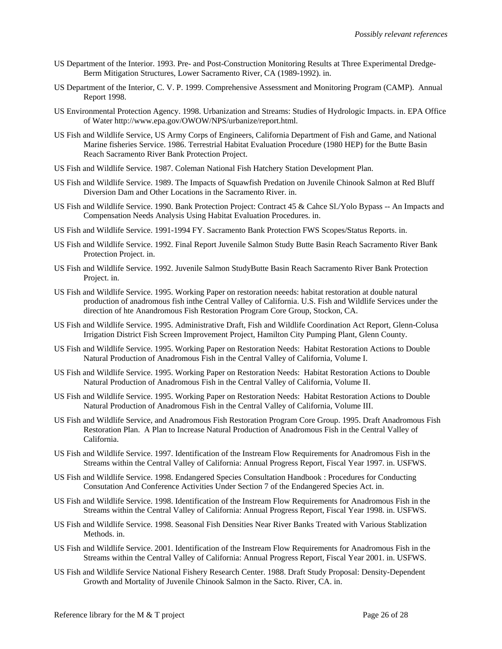- US Department of the Interior. 1993. Pre- and Post-Construction Monitoring Results at Three Experimental Dredge-Berm Mitigation Structures, Lower Sacramento River, CA (1989-1992). in.
- US Department of the Interior, C. V. P. 1999. Comprehensive Assessment and Monitoring Program (CAMP). Annual Report 1998.
- US Environmental Protection Agency. 1998. Urbanization and Streams: Studies of Hydrologic Impacts. in. EPA Office of Water http://www.epa.gov/OWOW/NPS/urbanize/report.html.
- US Fish and Wildlife Service, US Army Corps of Engineers, California Department of Fish and Game, and National Marine fisheries Service. 1986. Terrestrial Habitat Evaluation Procedure (1980 HEP) for the Butte Basin Reach Sacramento River Bank Protection Project.
- US Fish and Wildlife Service. 1987. Coleman National Fish Hatchery Station Development Plan.
- US Fish and Wildlife Service. 1989. The Impacts of Squawfish Predation on Juvenile Chinook Salmon at Red Bluff Diversion Dam and Other Locations in the Sacramento River. in.
- US Fish and Wildlife Service. 1990. Bank Protection Project: Contract 45 & Cahce Sl./Yolo Bypass -- An Impacts and Compensation Needs Analysis Using Habitat Evaluation Procedures. in.
- US Fish and Wildlife Service. 1991-1994 FY. Sacramento Bank Protection FWS Scopes/Status Reports. in.
- US Fish and Wildlife Service. 1992. Final Report Juvenile Salmon Study Butte Basin Reach Sacramento River Bank Protection Project. in.
- US Fish and Wildlife Service. 1992. Juvenile Salmon StudyButte Basin Reach Sacramento River Bank Protection Project. in.
- US Fish and Wildlife Service. 1995. Working Paper on restoration neeeds: habitat restoration at double natural production of anadromous fish inthe Central Valley of California. U.S. Fish and Wildlife Services under the direction of hte Anandromous Fish Restoration Program Core Group, Stockon, CA.
- US Fish and Wildlife Service. 1995. Administrative Draft, Fish and Wildlife Coordination Act Report, Glenn-Colusa Irrigation District Fish Screen Improvement Project, Hamilton City Pumping Plant, Glenn County.
- US Fish and Wildlife Service. 1995. Working Paper on Restoration Needs: Habitat Restoration Actions to Double Natural Production of Anadromous Fish in the Central Valley of California, Volume I.
- US Fish and Wildlife Service. 1995. Working Paper on Restoration Needs: Habitat Restoration Actions to Double Natural Production of Anadromous Fish in the Central Valley of California, Volume II.
- US Fish and Wildlife Service. 1995. Working Paper on Restoration Needs: Habitat Restoration Actions to Double Natural Production of Anadromous Fish in the Central Valley of California, Volume III.
- US Fish and Wildlife Service, and Anadromous Fish Restoration Program Core Group. 1995. Draft Anadromous Fish Restoration Plan. A Plan to Increase Natural Production of Anadromous Fish in the Central Valley of California.
- US Fish and Wildlife Service. 1997. Identification of the Instream Flow Requirements for Anadromous Fish in the Streams within the Central Valley of California: Annual Progress Report, Fiscal Year 1997. in. USFWS.
- US Fish and Wildlife Service. 1998. Endangered Species Consultation Handbook : Procedures for Conducting Consutation And Conference Activities Under Section 7 of the Endangered Species Act. in.
- US Fish and Wildlife Service. 1998. Identification of the Instream Flow Requirements for Anadromous Fish in the Streams within the Central Valley of California: Annual Progress Report, Fiscal Year 1998. in. USFWS.
- US Fish and Wildlife Service. 1998. Seasonal Fish Densities Near River Banks Treated with Various Stablization Methods. in.
- US Fish and Wildlife Service. 2001. Identification of the Instream Flow Requirements for Anadromous Fish in the Streams within the Central Valley of California: Annual Progress Report, Fiscal Year 2001. in. USFWS.
- US Fish and Wildlife Service National Fishery Research Center. 1988. Draft Study Proposal: Density-Dependent Growth and Mortality of Juvenile Chinook Salmon in the Sacto. River, CA. in.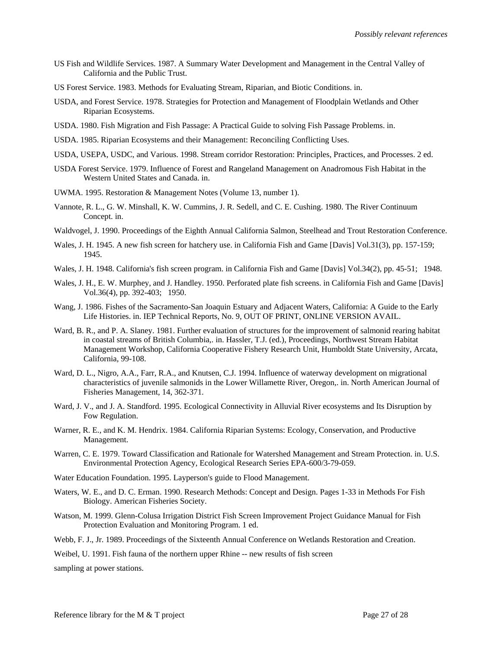- US Fish and Wildlife Services. 1987. A Summary Water Development and Management in the Central Valley of California and the Public Trust.
- US Forest Service. 1983. Methods for Evaluating Stream, Riparian, and Biotic Conditions. in.
- USDA, and Forest Service. 1978. Strategies for Protection and Management of Floodplain Wetlands and Other Riparian Ecosystems.
- USDA. 1980. Fish Migration and Fish Passage: A Practical Guide to solving Fish Passage Problems. in.
- USDA. 1985. Riparian Ecosystems and their Management: Reconciling Conflicting Uses.
- USDA, USEPA, USDC, and Various. 1998. Stream corridor Restoration: Principles, Practices, and Processes. 2 ed.
- USDA Forest Service. 1979. Influence of Forest and Rangeland Management on Anadromous Fish Habitat in the Western United States and Canada. in.
- UWMA. 1995. Restoration & Management Notes (Volume 13, number 1).
- Vannote, R. L., G. W. Minshall, K. W. Cummins, J. R. Sedell, and C. E. Cushing. 1980. The River Continuum Concept. in.
- Waldvogel, J. 1990. Proceedings of the Eighth Annual California Salmon, Steelhead and Trout Restoration Conference.
- Wales, J. H. 1945. A new fish screen for hatchery use. in California Fish and Game [Davis] Vol.31(3), pp. 157-159; 1945.
- Wales, J. H. 1948. California's fish screen program. in California Fish and Game [Davis] Vol.34(2), pp. 45-51; 1948.
- Wales, J. H., E. W. Murphey, and J. Handley. 1950. Perforated plate fish screens. in California Fish and Game [Davis] Vol.36(4), pp. 392-403; 1950.
- Wang, J. 1986. Fishes of the Sacramento-San Joaquin Estuary and Adjacent Waters, California: A Guide to the Early Life Histories. in. IEP Technical Reports, No. 9, OUT OF PRINT, ONLINE VERSION AVAIL.
- Ward, B. R., and P. A. Slaney. 1981. Further evaluation of structures for the improvement of salmonid rearing habitat in coastal streams of British Columbia,. in. Hassler, T.J. (ed.), Proceedings, Northwest Stream Habitat Management Workshop, California Cooperative Fishery Research Unit, Humboldt State University, Arcata, California, 99-108.
- Ward, D. L., Nigro, A.A., Farr, R.A., and Knutsen, C.J. 1994. Influence of waterway development on migrational characteristics of juvenile salmonids in the Lower Willamette River, Oregon,. in. North American Journal of Fisheries Management, 14, 362-371.
- Ward, J. V., and J. A. Standford. 1995. Ecological Connectivity in Alluvial River ecosystems and Its Disruption by Fow Regulation.
- Warner, R. E., and K. M. Hendrix. 1984. California Riparian Systems: Ecology, Conservation, and Productive Management.
- Warren, C. E. 1979. Toward Classification and Rationale for Watershed Management and Stream Protection. in. U.S. Environmental Protection Agency, Ecological Research Series EPA-600/3-79-059.
- Water Education Foundation. 1995. Layperson's guide to Flood Management.
- Waters, W. E., and D. C. Erman. 1990. Research Methods: Concept and Design. Pages 1-33 in Methods For Fish Biology. American Fisheries Society.
- Watson, M. 1999. Glenn-Colusa Irrigation District Fish Screen Improvement Project Guidance Manual for Fish Protection Evaluation and Monitoring Program. 1 ed.
- Webb, F. J., Jr. 1989. Proceedings of the Sixteenth Annual Conference on Wetlands Restoration and Creation.
- Weibel, U. 1991. Fish fauna of the northern upper Rhine -- new results of fish screen

sampling at power stations.